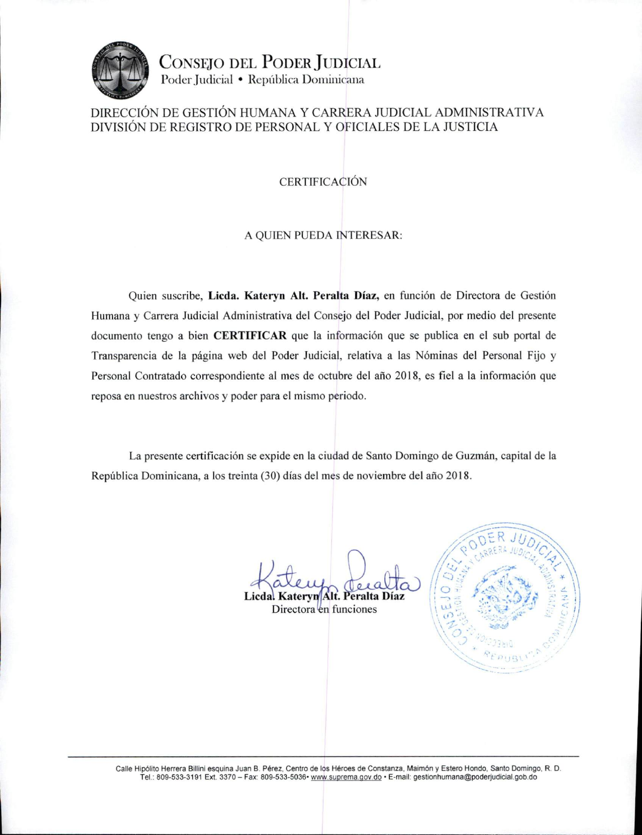

CONSEJO DEL PODER JUDICIAL Poder Judicial · República Dominicana

## DIRECCIÓN DE GESTIÓN HUMANA Y CARRERA JUDICIAL ADMINISTRATIVA DIVISIÓN DE REGISTRO DE PERSONAL Y OFICIALES DE LA JUSTICIA

### **CERTIFICACIÓN**

#### A QUIEN PUEDA INTERESAR:

Quien suscribe, Licda. Kateryn Alt. Peralta Díaz, en función de Directora de Gestión Humana y Carrera Judicial Administrativa del Consejo del Poder Judicial, por medio del presente documento tengo a bien **CERTIFICAR** que la información que se publica en el sub portal de Transparencia de la página web del Poder Judicial, relativa a las Nóminas del Personal Fijo y Personal Contratado correspondiente al mes de octubre del año 2018, es fiel a la información que reposa en nuestros archivos y poder para el mismo periodo.

La presente certificación se expide en la ciudad de Santo Domingo de Guzmán, capital de la República Dominicana, a los treinta (30) días del mes de noviembre del año 2018.

Licdal Kateryn Alt. Peralta Díaz

Directora en funciones



Calle Hipólito Herrera Billini esquina Juan B. Pérez, Centro de los Héroes de Constanza, Maimón y Estero Hondo, Santo Domingo, R. D. Tel.: 809-533-3191 Ext. 3370 - Fax: 809-533-5036 www.suprema.gov.do · E-mail: gestionhumana@poderjudicial.gob.do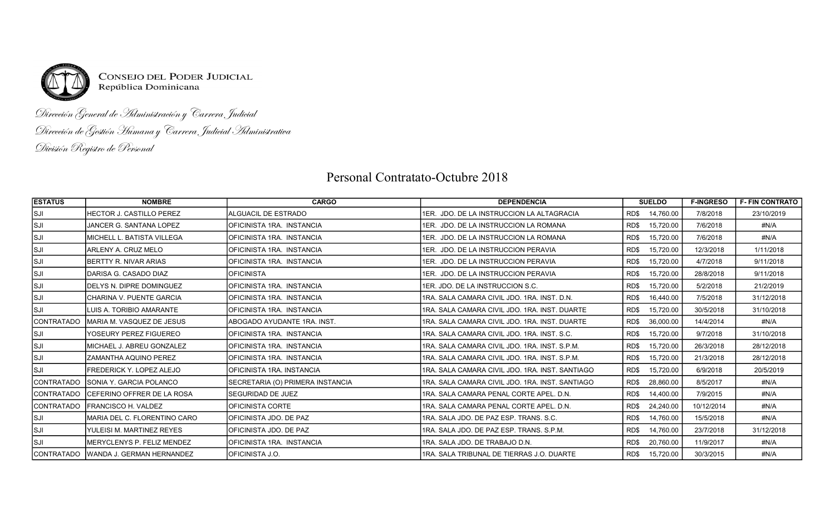

# Dirección General de Administración y Carrera Judicial Dirección de Gestión Humana y Carrera Judicial Administrativa División Registro de Personal

# Personal Contratato-Octubre 2018

| <b>ESTATUS</b>    | <b>NOMBRE</b>                          | <b>CARGO</b>                     | <b>DEPENDENCIA</b>                               | <b>SUELDO</b><br><b>F-INGRESO</b> |            | <b>F-FIN CONTRATO</b> |
|-------------------|----------------------------------------|----------------------------------|--------------------------------------------------|-----------------------------------|------------|-----------------------|
| lsji              | IHECTOR J. CASTILLO PEREZ              | <b>ALGUACIL DE ESTRADO</b>       | 1ER. JDO. DE LA INSTRUCCION LA ALTAGRACIA        | 14,760.00<br>RD\$                 | 7/8/2018   | 23/10/2019            |
| SJI               | JANCER G. SANTANA LOPEZ                | OFICINISTA 1RA. INSTANCIA        | 1ER. JDO. DE LA INSTRUCCION LA ROMANA            | 15,720.00<br>RD\$                 | 7/6/2018   | #N/A                  |
| SJI               | İMICHELL L. BATISTA VILLEGA            | OFICINISTA 1RA. INSTANCIA        | 1ER. JDO. DE LA INSTRUCCION LA ROMANA            | 15,720.00<br>RD\$                 | 7/6/2018   | #N/A                  |
| SJI               | IARLENY A. CRUZ MELO                   | <b>OFICINISTA 1RA. INSTANCIA</b> | 1ER. JDO. DE LA INSTRUCCION PERAVIA              | 15,720.00<br>RD\$                 | 12/3/2018  | 1/11/2018             |
| lsji              | IBERTTY R. NIVAR ARIAS                 | OFICINISTA 1RA. INSTANCIA        | 11ER. JDO. DE LA INSTRUCCION PERAVIA             | 15,720.00<br>RD\$                 | 4/7/2018   | 9/11/2018             |
| SJI               | IDARISA G. CASADO DIAZ                 | <b>OFICINISTA</b>                | 1ER. JDO. DE LA INSTRUCCION PERAVIA              | 15,720.00<br>RD\$                 | 28/8/2018  | 9/11/2018             |
| SJI               | IDELYS N. DIPRE DOMINGUEZ              | <b>OFICINISTA 1RA. INSTANCIA</b> | 1ER. JDO. DE LA INSTRUCCION S.C.                 | 15,720.00<br>RD\$                 | 5/2/2018   | 21/2/2019             |
| SJI               | CHARINA V. PUENTE GARCIA               | OFICINISTA 1RA. INSTANCIA        | I1RA. SALA CAMARA CIVIL JDO. 1RA. INST. D.N.     | 16,440.00<br>RD\$                 | 7/5/2018   | 31/12/2018            |
| SJI               | ILUIS A. TORIBIO AMARANTE              | OFICINISTA 1RA INSTANCIA         | 1RA, SALA CAMARA CIVIL JDO, 1RA, INST, DUARTE    | 15,720.00<br>RD\$                 | 30/5/2018  | 31/10/2018            |
| CONTRATADO        | IMARIA M. VASQUEZ DE JESUS             | IABOGADO AYUDANTE 1RA. INST.     | I1RA. SALA CAMARA CIVIL JDO. 1RA. INST. DUARTE   | 36,000.00<br>RD\$                 | 14/4/2014  | #N/A                  |
| SJI               | YOSEURY PEREZ FIGUEREO                 | OFICINISTA 1RA. INSTANCIA        | 1RA. SALA CAMARA CIVIL JDO. 1RA. INST. S.C.      | 15,720.00<br>RD\$                 | 9/7/2018   | 31/10/2018            |
| SJI               | İMICHAEL J. ABREU GONZALEZ             | OFICINISTA 1RA. INSTANCIA        | I1RA. SALA CAMARA CIVIL JDO. 1RA. INST. S.P.M.   | 15,720.00<br>RD\$                 | 26/3/2018  | 28/12/2018            |
| SJI               | IZAMANTHA AQUINO PEREZ                 | OFICINISTA 1RA. INSTANCIA        | 1RA. SALA CAMARA CIVIL JDO. 1RA. INST. S.P.M.    | 15,720.00<br>RD\$                 | 21/3/2018  | 28/12/2018            |
| SJI               | IFREDERICK Y. LOPEZ ALEJO              | IOFICINISTA 1RA. INSTANCIA       | 1RA, SALA CAMARA CIVIL JDO, 1RA, INST, SANTIAGO  | 15,720.00<br>RD\$                 | 6/9/2018   | 20/5/2019             |
| CONTRATADO        | <b>ISONIA Y. GARCIA POLANCO</b>        | SECRETARIA (O) PRIMERA INSTANCIA | I1RA. SALA CAMARA CIVIL JDO. 1RA. INST. SANTIAGO | 28,860.00<br>RD\$                 | 8/5/2017   | #N/A                  |
| <b>CONTRATADO</b> | <b>ICEFERINO OFFRER DE LA ROSA</b>     | <b>ISEGURIDAD DE JUEZ</b>        | 1RA. SALA CAMARA PENAL CORTE APEL. D.N.          | RD\$<br>14,400.00                 | 7/9/2015   | #N/A                  |
| CONTRATADO        | <b>IFRANCISCO H. VALDEZ</b>            | <b>IOFICINISTA CORTE</b>         | 1RA. SALA CAMARA PENAL CORTE APEL. D.N.          | 24,240.00<br>RD\$                 | 10/12/2014 | #N/A                  |
| SJI               | IMARIA DEL C. FLORENTINO CARO          | IOFICINISTA JDO. DE PAZ          | 1RA. SALA JDO. DE PAZ ESP. TRANS. S.C.           | 14,760.00<br>RD\$                 | 15/5/2018  | #N/A                  |
| SJI               | lYULEISI M. MARTINEZ REYES.            | OFICINISTA JDO. DE PAZ           | 1RA, SALA JDO, DE PAZ ESP, TRANS, S.P.M.         | 14,760.00<br>RD\$                 | 23/7/2018  | 31/12/2018            |
| lsji              | IMERYCLENYS P. FELIZ MENDEZ            | IOFICINISTA 1RA. INSTANCIA       | I1RA. SALA JDO. DE TRABAJO D.N.                  | 20,760.00<br>RD\$                 | 11/9/2017  | #N/A                  |
|                   | CONTRATADO   WANDA J. GERMAN HERNANDEZ | IOFICINISTA J.O.                 | I1RA. SALA TRIBUNAL DE TIERRAS J.O. DUARTE       | 15,720.00<br>RD\$                 | 30/3/2015  | #N/A                  |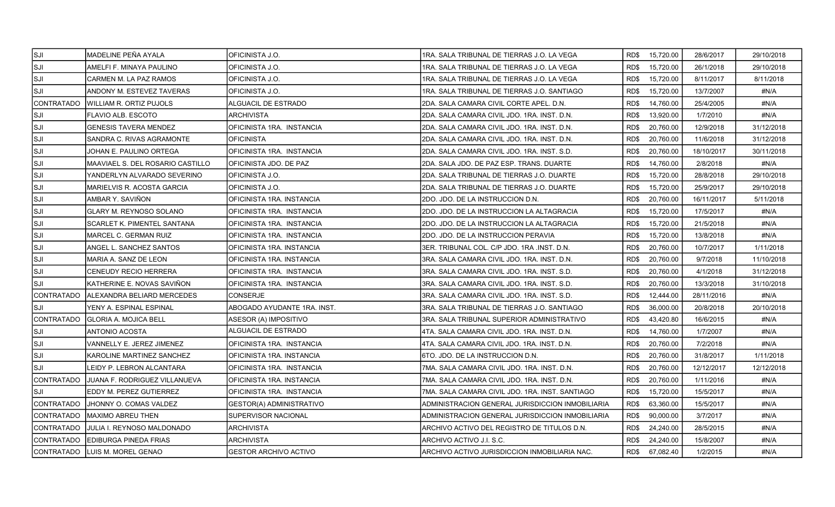| SJI]              | MADELINE PEÑA AYALA                | OFICINISTA J.O.              | 1RA. SALA TRIBUNAL DE TIERRAS J.O. LA VEGA       | RD\$ | 15,720.00      | 28/6/2017  | 29/10/2018 |
|-------------------|------------------------------------|------------------------------|--------------------------------------------------|------|----------------|------------|------------|
| ISJI              | AMELFI F. MINAYA PAULINO           | OFICINISTA J.O.              | 1RA. SALA TRIBUNAL DE TIERRAS J.O. LA VEGA       | RD\$ | 15,720.00      | 26/1/2018  | 29/10/2018 |
| SJI               | CARMEN M. LA PAZ RAMOS             | OFICINISTA J.O.              | 1RA. SALA TRIBUNAL DE TIERRAS J.O. LA VEGA       | RD\$ | 15,720.00      | 8/11/2017  | 8/11/2018  |
| <b>SJI</b>        | ANDONY M. ESTEVEZ TAVERAS          | OFICINISTA J.O.              | 1RA. SALA TRIBUNAL DE TIERRAS J.O. SANTIAGO      | RD\$ | 15,720.00      | 13/7/2007  | #N/A       |
| <b>CONTRATADO</b> | <b>WILLIAM R. ORTIZ PUJOLS</b>     | <b>ALGUACIL DE ESTRADO</b>   | 2DA. SALA CAMARA CIVIL CORTE APEL. D.N.          | RD\$ | 14,760.00      | 25/4/2005  | #N/A       |
| SJI               | FLAVIO ALB. ESCOTO                 | ARCHIVISTA                   | 2DA. SALA CAMARA CIVIL JDO. 1RA. INST. D.N.      | RD\$ | 13,920.00      | 1/7/2010   | #N/A       |
| ISJI              | <b>GENESIS TAVERA MENDEZ</b>       | OFICINISTA 1RA. INSTANCIA    | 2DA. SALA CAMARA CIVIL JDO. 1RA. INST. D.N.      | RD\$ | 20,760.00      | 12/9/2018  | 31/12/2018 |
| SJI               | SANDRA C. RIVAS AGRAMONTE          | <b>OFICINISTA</b>            | 2DA. SALA CAMARA CIVIL JDO. 1RA. INST. D.N.      | RD\$ | 20,760.00      | 11/6/2018  | 31/12/2018 |
| SJI]              | JOHAN E. PAULINO ORTEGA            | OFICINISTA 1RA. INSTANCIA    | 2DA. SALA CAMARA CIVIL JDO. 1RA. INST. S.D.      | RD\$ | 20,760.00      | 18/10/2017 | 30/11/2018 |
| SJI               | MAAVIAEL S. DEL ROSARIO CASTILLO   | OFICINISTA JDO. DE PAZ       | 2DA. SALA JDO. DE PAZ ESP. TRANS. DUARTE         | RD\$ | 14,760.00      | 2/8/2018   | #N/A       |
| SJI               | YANDERLYN ALVARADO SEVERINO        | OFICINISTA J.O.              | 2DA. SALA TRIBUNAL DE TIERRAS J.O. DUARTE        | RD\$ | 15,720.00      | 28/8/2018  | 29/10/2018 |
| ISJI              | MARIELVIS R. ACOSTA GARCIA         | OFICINISTA J.O.              | 2DA. SALA TRIBUNAL DE TIERRAS J.O. DUARTE        | RD\$ | 15,720.00      | 25/9/2017  | 29/10/2018 |
| SJI               | AMBAR Y. SAVIÑON                   | OFICINISTA 1RA. INSTANCIA    | 2DO. JDO. DE LA INSTRUCCION D.N.                 | RD\$ | 20,760.00      | 16/11/2017 | 5/11/2018  |
| SJI               | <b>GLARY M. REYNOSO SOLANO</b>     | OFICINISTA 1RA. INSTANCIA    | 2DO. JDO. DE LA INSTRUCCION LA ALTAGRACIA        | RD\$ | 15,720.00      | 17/5/2017  | #N/A       |
| SJI               | SCARLET K. PIMENTEL SANTANA        | OFICINISTA 1RA. INSTANCIA    | 2DO. JDO. DE LA INSTRUCCION LA ALTAGRACIA        | RD\$ | 15,720.00      | 21/5/2018  | #N/A       |
| <b>SJI</b>        | MARCEL C. GERMAN RUIZ              | OFICINISTA 1RA. INSTANCIA    | 2DO. JDO. DE LA INSTRUCCION PERAVIA              | RD\$ | 15,720.00      | 13/8/2018  | #N/A       |
| SJI               | ANGEL L. SANCHEZ SANTOS            | OFICINISTA 1RA. INSTANCIA    | 3ER. TRIBUNAL COL. C/P JDO. 1RA .INST. D.N.      | RD\$ | 20,760.00      | 10/7/2017  | 1/11/2018  |
| SJI               | MARIA A. SANZ DE LEON              | IOFICINISTA 1RA. INSTANCIA   | 3RA. SALA CAMARA CIVIL JDO. 1RA. INST. D.N.      | RD\$ | 20,760.00      | 9/7/2018   | 11/10/2018 |
| SJI]              | <b>CENEUDY RECIO HERRERA</b>       | OFICINISTA 1RA. INSTANCIA    | 3RA. SALA CAMARA CIVIL JDO. 1RA. INST. S.D.      | RD\$ | 20,760.00      | 4/1/2018   | 31/12/2018 |
| SJI               | KATHERINE E. NOVAS SAVIÑON         | IOFICINISTA 1RA. INSTANCIA   | 3RA, SALA CAMARA CIVIL JDO, 1RA, INST, S.D.      | RD\$ | 20,760.00      | 13/3/2018  | 31/10/2018 |
| <b>CONTRATADO</b> | ALEXANDRA BELIARD MERCEDES         | CONSERJE                     | 3RA. SALA CAMARA CIVIL JDO. 1RA. INST. S.D.      | RD\$ | 12,444.00      | 28/11/2016 | #N/A       |
| <b>SJI</b>        | YENY A. ESPINAL ESPINAL            | ABOGADO AYUDANTE 1RA. INST.  | 3RA. SALA TRIBUNAL DE TIERRAS J.O. SANTIAGO      | RD\$ | 36,000.00      | 20/8/2018  | 20/10/2018 |
| CONTRATADO        | GLORIA A. MOJICA BELL              | ASESOR (A) IMPOSITIVO        | 3RA. SALA TRIBUNAL SUPERIOR ADMINISTRATIVO       | RD\$ | 43,420.80      | 16/6/2015  | #N/A       |
| SJI               | <b>ANTONIO ACOSTA</b>              | ALGUACIL DE ESTRADO          | 4TA. SALA CAMARA CIVIL JDO. 1RA. INST. D.N.      | RD\$ | 14,760.00      | 1/7/2007   | #N/A       |
| SJI               | VANNELLY E. JEREZ JIMENEZ          | OFICINISTA 1RA. INSTANCIA    | 4TA. SALA CAMARA CIVIL JDO. 1RA. INST. D.N.      | RD\$ | 20,760.00      | 7/2/2018   | #N/A       |
| SJI               | KAROLINE MARTINEZ SANCHEZ          | OFICINISTA 1RA. INSTANCIA    | 6TO. JDO. DE LA INSTRUCCION D.N.                 | RD\$ | 20,760.00      | 31/8/2017  | 1/11/2018  |
| <b>SJI</b>        | LEIDY P. LEBRON ALCANTARA          | IOFICINISTA 1RA. INSTANCIA   | 7MA, SALA CAMARA CIVIL JDO, 1RA, INST, D.N.      | RD\$ | 20,760.00      | 12/12/2017 | 12/12/2018 |
| <b>CONTRATADO</b> | JUANA F. RODRIGUEZ VILLANUEVA      | OFICINISTA 1RA. INSTANCIA    | 7MA. SALA CAMARA CIVIL JDO. 1RA. INST. D.N.      | RD\$ | 20,760.00      | 1/11/2016  | #N/A       |
| <b>SJI</b>        | EDDY M. PEREZ GUTIERREZ            | OFICINISTA 1RA. INSTANCIA    | 7MA. SALA CAMARA CIVIL JDO. 1RA. INST. SANTIAGO  | RD\$ | 15,720.00      | 15/5/2017  | #N/A       |
| CONTRATADO        | <b>JHONNY O. COMAS VALDEZ</b>      | GESTOR(A) ADMINISTRATIVO     | ADMINISTRACION GENERAL JURISDICCION INMOBILIARIA | RD\$ | 63.360.00      | 15/5/2017  | #N/A       |
| <b>CONTRATADO</b> | MAXIMO ABREU THEN                  | SUPERVISOR NACIONAL          | ADMINISTRACION GENERAL JURISDICCION INMOBILIARIA | RD\$ | 90,000.00      | 3/7/2017   | #N/A       |
| CONTRATADO        | <b>JJULIA I. REYNOSO MALDONADO</b> | <b>ARCHIVISTA</b>            | ARCHIVO ACTIVO DEL REGISTRO DE TITULOS D.N.      | RD\$ | 24,240.00      | 28/5/2015  | #N/A       |
| CONTRATADO        | <b>EDIBURGA PINEDA FRIAS</b>       | <b>ARCHIVISTA</b>            | ARCHIVO ACTIVO J.I. S.C.                         | RD\$ | 24,240.00      | 15/8/2007  | #N/A       |
|                   | CONTRATADO LUIS M. MOREL GENAO     | <b>GESTOR ARCHIVO ACTIVO</b> | ARCHIVO ACTIVO JURISDICCION INMOBILIARIA NAC.    |      | RD\$ 67,082.40 | 1/2/2015   | #N/A       |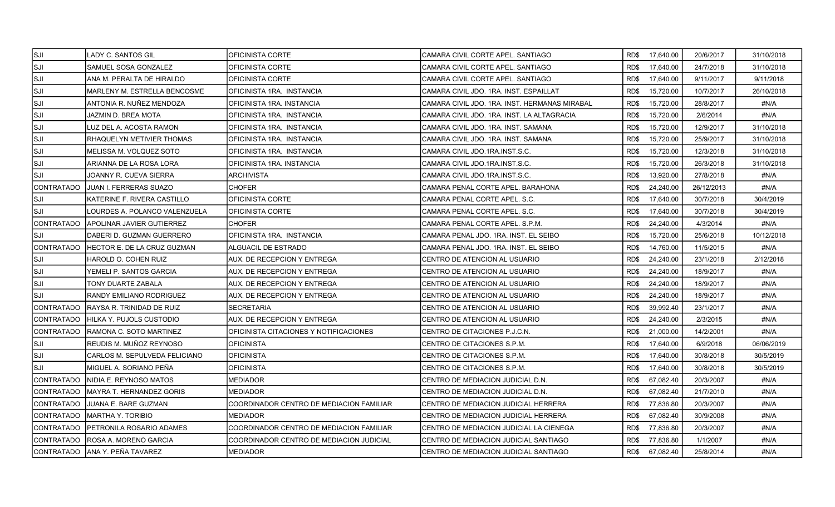| SJI]              | LADY C. SANTOS GIL                 | OFICINISTA CORTE                         | CAMARA CIVIL CORTE APEL. SANTIAGO             | RD\$ 17,640.00    | 20/6/2017  | 31/10/2018 |
|-------------------|------------------------------------|------------------------------------------|-----------------------------------------------|-------------------|------------|------------|
| ISJI              | SAMUEL SOSA GONZALEZ               | OFICINISTA CORTE                         | CAMARA CIVIL CORTE APEL. SANTIAGO             | 17,640.00<br>RD\$ | 24/7/2018  | 31/10/2018 |
| SJI               | ANA M. PERALTA DE HIRALDO          | OFICINISTA CORTE                         | CAMARA CIVIL CORTE APEL. SANTIAGO             | RD\$<br>17,640.00 | 9/11/2017  | 9/11/2018  |
| SJI               | MARLENY M. ESTRELLA BENCOSME       | IOFICINISTA 1RA. INSTANCIA               | CAMARA CIVIL JDO. 1RA. INST. ESPAILLAT        | RD\$<br>15,720.00 | 10/7/2017  | 26/10/2018 |
| SJI               | ANTONIA R. NUÑEZ MENDOZA           | OFICINISTA 1RA. INSTANCIA                | CAMARA CIVIL JDO. 1RA. INST. HERMANAS MIRABAL | 15,720.00<br>RD\$ | 28/8/2017  | #N/A       |
| ISJI              | JAZMIN D. BREA MOTA                | OFICINISTA 1RA. INSTANCIA                | CAMARA CIVIL JDO. 1RA. INST. LA ALTAGRACIA    | RD\$<br>15,720.00 | 2/6/2014   | #N/A       |
| ISJI              | LUZ DEL A. ACOSTA RAMON            | OFICINISTA 1RA. INSTANCIA                | CAMARA CIVIL JDO. 1RA. INST. SAMANA           | RD\$<br>15,720.00 | 12/9/2017  | 31/10/2018 |
| SJI               | RHAQUELYN METIVIER THOMAS          | OFICINISTA 1RA. INSTANCIA                | CAMARA CIVIL JDO. 1RA. INST. SAMANA           | 15,720.00<br>RD\$ | 25/9/2017  | 31/10/2018 |
| <b>SJI</b>        | MELISSA M. VOLQUEZ SOTO            | IOFICINISTA 1RA. INSTANCIA               | CAMARA CIVIL JDO 1RA INST.S.C.                | RD\$<br>15,720.00 | 12/3/2018  | 31/10/2018 |
| <b>SJI</b>        | ARIANNA DE LA ROSA LORA            | OFICINISTA 1RA. INSTANCIA                | CAMARA CIVIL JDO.1RA.INST.S.C.                | 15,720.00<br>RD\$ | 26/3/2018  | 31/10/2018 |
| SJI               | JOANNY R. CUEVA SIERRA             | ARCHIVISTA                               | CAMARA CIVIL JDO 1RA INST S.C.                | RD\$<br>13,920.00 | 27/8/2018  | #N/A       |
| CONTRATADO        | JUAN I. FERRERAS SUAZO             | <b>CHOFER</b>                            | CAMARA PENAL CORTE APEL. BARAHONA             | 24,240.00<br>RD\$ | 26/12/2013 | #N/A       |
| SJI               | KATERINE F. RIVERA CASTILLO        | OFICINISTA CORTE                         | CAMARA PENAL CORTE APEL. S.C.                 | RD\$<br>17,640.00 | 30/7/2018  | 30/4/2019  |
| SJI               | LOURDES A. POLANCO VALENZUELA      | IOFICINISTA CORTE                        | CAMARA PENAL CORTE APEL, S.C.                 | RD\$<br>17,640.00 | 30/7/2018  | 30/4/2019  |
| <b>CONTRATADO</b> | <b>APOLINAR JAVIER GUTIERREZ</b>   | CHOFER                                   | CAMARA PENAL CORTE APEL, S.P.M.               | 24,240.00<br>RD\$ | 4/3/2014   | #N/A       |
| SJI               | DABERI D. GUZMAN GUERRERO          | OFICINISTA 1RA. INSTANCIA                | CAMARA PENAL JDO. 1RA. INST. EL SEIBO         | 15,720.00<br>RD\$ | 25/6/2018  | 10/12/2018 |
| <b>CONTRATADO</b> | <b>HECTOR E. DE LA CRUZ GUZMAN</b> | IALGUACIL DE ESTRADO                     | CAMARA PENAL JDO. 1RA. INST. EL SEIBO         | 14,760.00<br>RD\$ | 11/5/2015  | #N/A       |
| SJI               | HAROLD O. COHEN RUIZ               | AUX. DE RECEPCION Y ENTREGA              | CENTRO DE ATENCION AL USUARIO                 | RD\$<br>24,240.00 | 23/1/2018  | 2/12/2018  |
| SJI               | YEMELI P. SANTOS GARCIA            | AUX. DE RECEPCION Y ENTREGA              | CENTRO DE ATENCION AL USUARIO                 | RD\$<br>24.240.00 | 18/9/2017  | #N/A       |
| <b>SJI</b>        | TONY DUARTE ZABALA                 | AUX. DE RECEPCION Y ENTREGA              | CENTRO DE ATENCION AL USUARIO                 | RD\$<br>24,240.00 | 18/9/2017  | #N/A       |
| <b>SJI</b>        | RANDY EMILIANO RODRIGUEZ           | AUX. DE RECEPCION Y ENTREGA              | CENTRO DE ATENCION AL USUARIO                 | RD\$<br>24,240.00 | 18/9/2017  | #N/A       |
| CONTRATADO        | RAYSA R. TRINIDAD DE RUIZ          | SECRETARIA                               | CENTRO DE ATENCION AL USUARIO                 | RD\$<br>39,992.40 | 23/1/2017  | #N/A       |
| <b>CONTRATADO</b> | HILKA Y. PUJOLS CUSTODIO           | AUX. DE RECEPCION Y ENTREGA              | CENTRO DE ATENCION AL USUARIO                 | RD\$<br>24,240.00 | 2/3/2015   | #N/A       |
| ICONTRATADO       | IRAMONA C. SOTO MARTINEZ           | IOFICINISTA CITACIONES Y NOTIFICACIONES  | CENTRO DE CITACIONES P.J.C.N.                 | RD\$<br>21,000.00 | 14/2/2001  | #N/A       |
| ISJI              | REUDIS M. MUÑOZ REYNOSO            | <b>OFICINISTA</b>                        | CENTRO DE CITACIONES S.P.M.                   | RD\$<br>17,640.00 | 6/9/2018   | 06/06/2019 |
| SJI               | CARLOS M. SEPULVEDA FELICIANO      | OFICINISTA                               | CENTRO DE CITACIONES S.P.M.                   | 17,640.00<br>RD\$ | 30/8/2018  | 30/5/2019  |
| ISJI              | MIGUEL A. SORIANO PEÑA             | <b>OFICINISTA</b>                        | CENTRO DE CITACIONES S.P.M.                   | RD\$<br>17,640.00 | 30/8/2018  | 30/5/2019  |
| <b>CONTRATADO</b> | INIDIA E. REYNOSO MATOS            | <b>MEDIADOR</b>                          | CENTRO DE MEDIACION JUDICIAL D.N.             | 67,082.40<br>RD\$ | 20/3/2007  | #N/A       |
| ICONTRATADO       | IMAYRA T. HERNANDEZ GORIS          | <b>MEDIADOR</b>                          | CENTRO DE MEDIACION JUDICIAL D.N.             | RD\$<br>67,082.40 | 21/7/2010  | #N/A       |
| <b>CONTRATADO</b> | JUANA E. BARE GUZMAN               | COORDINADOR CENTRO DE MEDIACION FAMILIAR | CENTRO DE MEDIACION JUDICIAL HERRERA          | 77,836.80<br>RD\$ | 20/3/2007  | #N/A       |
| <b>CONTRATADO</b> | MARTHA Y. TORIBIO                  | MEDIADOR                                 | CENTRO DE MEDIACION JUDICIAL HERRERA          | RD\$<br>67,082.40 | 30/9/2008  | #N/A       |
| CONTRATADO        | <b>PETRONILA ROSARIO ADAMES</b>    | COORDINADOR CENTRO DE MEDIACION FAMILIAR | CENTRO DE MEDIACION JUDICIAL LA CIENEGA       | RD\$<br>77,836.80 | 20/3/2007  | #N/A       |
| CONTRATADO        | <b>ROSA A. MORENO GARCIA</b>       | COORDINADOR CENTRO DE MEDIACION JUDICIAL | CENTRO DE MEDIACION JUDICIAL SANTIAGO         | RD\$<br>77,836.80 | 1/1/2007   | #N/A       |
|                   | ICONTRATADO IANA Y. PEÑA TAVAREZ   | <b>IMEDIADOR</b>                         | ICENTRO DE MEDIACION JUDICIAL SANTIAGO        | RD\$<br>67.082.40 | 25/8/2014  | #N/A       |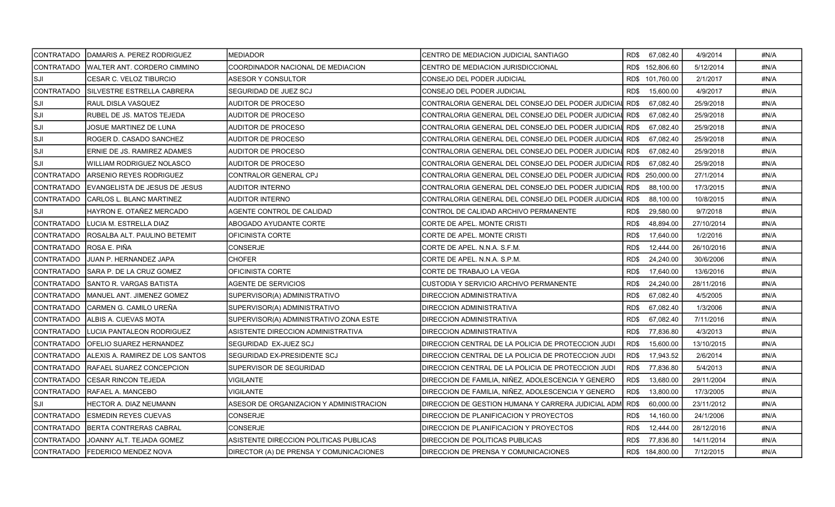| CONTRATADO        | DAMARIS A. PEREZ RODRIGUEZ        | <b>MEDIADOR</b>                         | CENTRO DE MEDIACION JUDICIAL SANTIAGO              | RD\$ 67,082.40    | 4/9/2014   | #N/A |
|-------------------|-----------------------------------|-----------------------------------------|----------------------------------------------------|-------------------|------------|------|
| CONTRATADO        | WALTER ANT. CORDERO CIMMINO       | COORDINADOR NACIONAL DE MEDIACION       | CENTRO DE MEDIACION JURISDICCIONAL                 | RD\$ 152,806.60   | 5/12/2014  | #N/A |
| SJI]              | CESAR C. VELOZ TIBURCIO           | ASESOR Y CONSULTOR                      | CONSEJO DEL PODER JUDICIAL                         | RD\$ 101,760.00   | 2/1/2017   | #N/A |
| CONTRATADO        | ISILVESTRE ESTRELLA CABRERA       | <b>SEGURIDAD DE JUEZ SCJ</b>            | <b>CONSEJO DEL PODER JUDICIAL</b>                  | RD\$<br>15,600.00 | 4/9/2017   | #N/A |
| SJI]              | <b>RAUL DISLA VASQUEZ</b>         | AUDITOR DE PROCESO                      | CONTRALORIA GENERAL DEL CONSEJO DEL PODER JUDICIAI | 67,082.40<br>RD\$ | 25/9/2018  | #N/A |
| SJI]              | RUBEL DE JS. MATOS TEJEDA         | AUDITOR DE PROCESO                      | CONTRALORIA GENERAL DEL CONSEJO DEL PODER JUDICIAI | RD\$<br>67.082.40 | 25/9/2018  | #N/A |
| SJI               | JOSUE MARTINEZ DE LUNA            | AUDITOR DE PROCESO                      | CONTRALORIA GENERAL DEL CONSEJO DEL PODER JUDICIA  | RD\$<br>67,082.40 | 25/9/2018  | #N/A |
| SJI]              | ROGER D. CASADO SANCHEZ           | AUDITOR DE PROCESO                      | CONTRALORIA GENERAL DEL CONSEJO DEL PODER JUDICIAL | RD\$<br>67,082.40 | 25/9/2018  | #N/A |
| SJI]              | ERNIE DE JS. RAMIREZ ADAMES       | AUDITOR DE PROCESO                      | CONTRALORIA GENERAL DEL CONSEJO DEL PODER JUDICIAL | RD\$<br>67,082.40 | 25/9/2018  | #N/A |
| SJI               | WILLIAM RODRIGUEZ NOLASCO         | AUDITOR DE PROCESO                      | CONTRALORIA GENERAL DEL CONSEJO DEL PODER JUDICIAI | 67.082.40<br>RD\$ | 25/9/2018  | #N/A |
| CONTRATADO        | ARSENIO REYES RODRIGUEZ           | CONTRALOR GENERAL CPJ                   | CONTRALORIA GENERAL DEL CONSEJO DEL PODER JUDICIAI | RD\$ 250,000.00   | 27/1/2014  | #N/A |
| <b>CONTRATADO</b> | EVANGELISTA DE JESUS DE JESUS     | AUDITOR INTERNO                         | CONTRALORIA GENERAL DEL CONSEJO DEL PODER JUDICIAI | RD\$<br>88,100.00 | 17/3/2015  | #N/A |
| <b>CONTRATADO</b> | CARLOS L. BLANC MARTINEZ          | AUDITOR INTERNO                         | CONTRALORIA GENERAL DEL CONSEJO DEL PODER JUDICIAI | RD\$<br>88,100.00 | 10/8/2015  | #N/A |
| SJI]              | HAYRON E. OTAÑEZ MERCADO          | AGENTE CONTROL DE CALIDAD               | CONTROL DE CALIDAD ARCHIVO PERMANENTE              | 29,580.00<br>RD\$ | 9/7/2018   | #N/A |
| CONTRATADO        | ILUCIA M. ESTRELLA DIAZ           | ABOGADO AYUDANTE CORTE                  | CORTE DE APEL. MONTE CRISTI                        | RD\$<br>48,894.00 | 27/10/2014 | #N/A |
| CONTRATADO        | ROSALBA ALT. PAULINO BETEMIT      | OFICINISTA CORTE                        | CORTE DE APEL. MONTE CRISTI                        | RD\$<br>17,640.00 | 1/2/2016   | #N/A |
| CONTRATADO        | IROSA E. PIÑA                     | CONSERJE                                | CORTE DE APEL. N.N.A. S.F.M.                       | RD\$<br>12,444.00 | 26/10/2016 | #N/A |
| <b>CONTRATADO</b> | JUAN P. HERNANDEZ JAPA            | <b>CHOFER</b>                           | CORTE DE APEL. N.N.A. S.P.M.                       | RD\$<br>24,240.00 | 30/6/2006  | #N/A |
| ICONTRATADO       | <b>ISARA P. DE LA CRUZ GOMEZ</b>  | OFICINISTA CORTE                        | CORTE DE TRABAJO LA VEGA                           | RD\$<br>17,640.00 | 13/6/2016  | #N/A |
| CONTRATADO        | SANTO R. VARGAS BATISTA           | AGENTE DE SERVICIOS                     | CUSTODIA Y SERVICIO ARCHIVO PERMANENTE             | 24,240.00<br>RD\$ | 28/11/2016 | #N/A |
| CONTRATADO        | MANUEL ANT. JIMENEZ GOMEZ         | SUPERVISOR(A) ADMINISTRATIVO            | DIRECCION ADMINISTRATIVA                           | RD\$<br>67,082.40 | 4/5/2005   | #N/A |
| <b>CONTRATADO</b> | CARMEN G. CAMILO UREÑA            | SUPERVISOR(A) ADMINISTRATIVO            | DIRECCION ADMINISTRATIVA                           | RD\$<br>67,082.40 | 1/3/2006   | #N/A |
| CONTRATADO        | ALBIS A. CUEVAS MOTA              | SUPERVISOR(A) ADMINISTRATIVO ZONA ESTE  | DIRECCION ADMINISTRATIVA                           | RD\$<br>67,082.40 | 7/11/2016  | #N/A |
| CONTRATADO        | <b>ILUCIA PANTALEON RODRIGUEZ</b> | ASISTENTE DIRECCION ADMINISTRATIVA      | DIRECCION ADMINISTRATIVA                           | RD\$<br>77,836.80 | 4/3/2013   | #N/A |
| <b>CONTRATADO</b> | OFELIO SUAREZ HERNANDEZ           | SEGURIDAD EX-JUEZ SCJ                   | DIRECCION CENTRAL DE LA POLICIA DE PROTECCION JUDI | 15,600.00<br>RD\$ | 13/10/2015 | #N/A |
| <b>CONTRATADO</b> | IALEXIS A. RAMIREZ DE LOS SANTOS  | SEGURIDAD EX-PRESIDENTE SCJ             | DIRECCION CENTRAL DE LA POLICIA DE PROTECCION JUDI | 17,943.52<br>RD\$ | 2/6/2014   | #N/A |
| <b>CONTRATADO</b> | RAFAEL SUAREZ CONCEPCION          | SUPERVISOR DE SEGURIDAD                 | DIRECCION CENTRAL DE LA POLICIA DE PROTECCION JUDI | RD\$<br>77,836.80 | 5/4/2013   | #N/A |
| ICONTRATADO       | CESAR RINCON TEJEDA               | VIGILANTE                               | DIRECCION DE FAMILIA, NIÑEZ, ADOLESCENCIA Y GENERO | RD\$<br>13,680.00 | 29/11/2004 | #N/A |
| CONTRATADO        | RAFAEL A. MANCEBO                 | VIGILANTE                               | DIRECCION DE FAMILIA, NIÑEZ, ADOLESCENCIA Y GENERO | RD\$<br>13,800.00 | 17/3/2005  | #N/A |
| SJI]              | <b>HECTOR A. DIAZ NEUMANN</b>     | ASESOR DE ORGANIZACION Y ADMINISTRACION | DIRECCION DE GESTION HUMANA Y CARRERA JUDICIAL ADM | 60,000.00<br>RD\$ | 23/11/2012 | #N/A |
| CONTRATADO        | <b>ESMEDIN REYES CUEVAS</b>       | CONSERJE                                | DIRECCION DE PLANIFICACION Y PROYECTOS             | 14,160.00<br>RD\$ | 24/1/2006  | #N/A |
| CONTRATADO        | BERTA CONTRERAS CABRAL            | CONSERJE                                | DIRECCION DE PLANIFICACION Y PROYECTOS             | RD\$<br>12,444.00 | 28/12/2016 | #N/A |
| CONTRATADO        | JOANNY ALT. TEJADA GOMEZ          | ASISTENTE DIRECCION POLITICAS PUBLICAS  | DIRECCION DE POLITICAS PUBLICAS                    | RD\$<br>77,836.80 | 14/11/2014 | #N/A |
|                   | CONTRATADO FEDERICO MENDEZ NOVA   | DIRECTOR (A) DE PRENSA Y COMUNICACIONES | <b>DIRECCION DE PRENSA Y COMUNICACIONES</b>        | RD\$ 184,800.00   | 7/12/2015  | #N/A |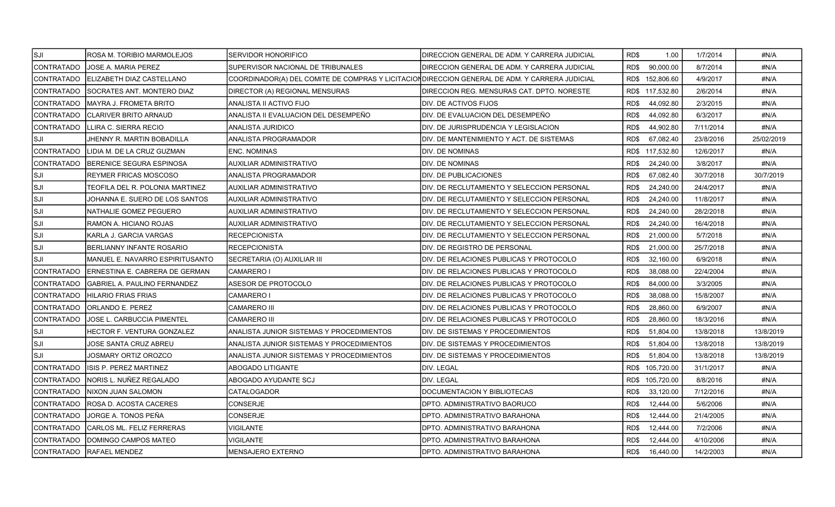| SJI]              | ROSA M. TORIBIO MARMOLEJOS          | SERVIDOR HONORIFICO                                                                            | IDIRECCION GENERAL DE ADM. Y CARRERA JUDICIAL    | RD\$<br>1.00      | 1/7/2014  | #N/A       |
|-------------------|-------------------------------------|------------------------------------------------------------------------------------------------|--------------------------------------------------|-------------------|-----------|------------|
| CONTRATADO        | JOSE A. MARIA PEREZ                 | SUPERVISOR NACIONAL DE TRIBUNALES                                                              | DIRECCION GENERAL DE ADM. Y CARRERA JUDICIAL     | 90,000.00<br>RD\$ | 8/7/2014  | #N/A       |
| CONTRATADO        | ELIZABETH DIAZ CASTELLANO           | COORDINADOR(A) DEL COMITE DE COMPRAS Y LICITACION DIRECCION GENERAL DE ADM. Y CARRERA JUDICIAL |                                                  | RD\$ 152,806.60   | 4/9/2017  | #N/A       |
| CONTRATADO        | ISOCRATES ANT. MONTERO DIAZ         | DIRECTOR (A) REGIONAL MENSURAS                                                                 | IDIRECCION REG. MENSURAS CAT. DPTO. NORESTE      | RD\$ 117,532.80   | 2/6/2014  | #N/A       |
| CONTRATADO        | MAYRA J. FROMETA BRITO              | ANALISTA II ACTIVO FIJO                                                                        | <b>I</b> DIV. DE ACTIVOS FIJOS                   | 44,092.80<br>RD\$ | 2/3/2015  | #N/A       |
| CONTRATADO        | CLARIVER BRITO ARNAUD               | ANALISTA II EVALUACION DEL DESEMPEÑO                                                           | DIV. DE EVALUACION DEL DESEMPEÑO                 | 44,092.80<br>RD\$ | 6/3/2017  | #N/A       |
| CONTRATADO        | LLIRA C. SIERRA RECIO               | ANALISTA JURIDICO                                                                              | DIV. DE JURISPRUDENCIA Y LEGISLACION             | RD\$<br>44,902.80 | 7/11/2014 | #N/A       |
| SJI               | JHENNY R. MARTIN BOBADILLA          | ANALISTA PROGRAMADOR                                                                           | <b>IDIV. DE MANTENIMIENTO Y ACT. DE SISTEMAS</b> | RD\$<br>67,082.40 | 23/8/2016 | 25/02/2019 |
| CONTRATADO        | LIDIA M. DE LA CRUZ GUZMAN          | <b>ENC. NOMINAS</b>                                                                            | <b>IDIV. DE NOMINAS</b>                          | RD\$ 117,532.80   | 12/6/2017 | #N/A       |
| CONTRATADO        | BERENICE SEGURA ESPINOSA            | AUXILIAR ADMINISTRATIVO                                                                        | DIV. DE NOMINAS                                  | 24,240.00<br>RD\$ | 3/8/2017  | #N/A       |
| ISJI              | REYMER FRICAS MOSCOSO               | ANALISTA PROGRAMADOR                                                                           | <b>DIV. DE PUBLICACIONES</b>                     | RD\$<br>67,082.40 | 30/7/2018 | 30/7/2019  |
| SJI               | TEOFILA DEL R. POLONIA MARTINEZ     | AUXILIAR ADMINISTRATIVO                                                                        | DIV. DE RECLUTAMIENTO Y SELECCION PERSONAL       | 24,240.00<br>RD\$ | 24/4/2017 | #N/A       |
| lsji              | JOHANNA E. SUERO DE LOS SANTOS      | AUXILIAR ADMINISTRATIVO                                                                        | IDIV. DE RECLUTAMIENTO Y SELECCION PERSONAL      | 24,240.00<br>RD\$ | 11/8/2017 | #N/A       |
| lsji              | NATHALIE GOMEZ PEGUERO              | AUXILIAR ADMINISTRATIVO                                                                        | DIV. DE RECLUTAMIENTO Y SELECCION PERSONAL       | 24,240.00<br>RD\$ | 28/2/2018 | #N/A       |
| lsji              | RAMON A. HICIANO ROJAS              | AUXILIAR ADMINISTRATIVO                                                                        | DIV. DE RECLUTAMIENTO Y SELECCION PERSONAL       | 24,240.00<br>RD\$ | 16/4/2018 | #N/A       |
| lsji              | KARLA J. GARCIA VARGAS              | RECEPCIONISTA                                                                                  | IDIV. DE RECLUTAMIENTO Y SELECCION PERSONAL      | RD\$<br>21,000.00 | 5/7/2018  | #N/A       |
| SJI               | <b>BERLIANNY INFANTE ROSARIO</b>    | <b>RECEPCIONISTA</b>                                                                           | DIV. DE REGISTRO DE PERSONAL                     | RD\$<br>21,000.00 | 25/7/2018 | #N/A       |
| ISJI              | MANUEL E. NAVARRO ESPIRITUSANTO     | SECRETARIA (O) AUXILIAR III                                                                    | IDIV. DE RELACIONES PUBLICAS Y PROTOCOLO         | RD\$<br>32,160.00 | 6/9/2018  | #N/A       |
| CONTRATADO        | ERNESTINA E. CABRERA DE GERMAN      | <b>CAMARERO I</b>                                                                              | DIV. DE RELACIONES PUBLICAS Y PROTOCOLO          | RD\$<br>38,088.00 | 22/4/2004 | #N/A       |
| CONTRATADO        | <b>GABRIEL A. PAULINO FERNANDEZ</b> | ASESOR DE PROTOCOLO                                                                            | DIV. DE RELACIONES PUBLICAS Y PROTOCOLO          | RD\$<br>84,000.00 | 3/3/2005  | #N/A       |
| <b>CONTRATADO</b> | <b>HILARIO FRIAS FRIAS</b>          | <b>CAMARERO I</b>                                                                              | DIV. DE RELACIONES PUBLICAS Y PROTOCOLO          | RD\$<br>38,088.00 | 15/8/2007 | #N/A       |
| CONTRATADO        | ORLANDO E. PEREZ                    | <b>CAMARERO III</b>                                                                            | DIV. DE RELACIONES PUBLICAS Y PROTOCOLO          | RD\$<br>28,860.00 | 6/9/2007  | #N/A       |
| CONTRATADO        | <b>JOSE L. CARBUCCIA PIMENTEL</b>   | <b>CAMARERO III</b>                                                                            | IDIV. DE RELACIONES PUBLICAS Y PROTOCOLO         | RD\$<br>28,860.00 | 18/3/2016 | #N/A       |
| SJI               | HECTOR F. VENTURA GONZALEZ          | ANALISTA JUNIOR SISTEMAS Y PROCEDIMIENTOS                                                      | DIV. DE SISTEMAS Y PROCEDIMIENTOS                | RD\$<br>51,804.00 | 13/8/2018 | 13/8/2019  |
| ISJI              | JOSE SANTA CRUZ ABREU               | ANALISTA JUNIOR SISTEMAS Y PROCEDIMIENTOS                                                      | DIV. DE SISTEMAS Y PROCEDIMIENTOS                | RD\$<br>51,804.00 | 13/8/2018 | 13/8/2019  |
| lsji              | JOSMARY ORTIZ OROZCO                | ANALISTA JUNIOR SISTEMAS Y PROCEDIMIENTOS                                                      | DIV. DE SISTEMAS Y PROCEDIMIENTOS                | 51,804.00<br>RD\$ | 13/8/2018 | 13/8/2019  |
| <b>CONTRATADO</b> | ISIS P. PEREZ MARTINEZ              | ABOGADO LITIGANTE                                                                              | <b>DIV. LEGAL</b>                                | RD\$ 105,720.00   | 31/1/2017 | #N/A       |
| <b>CONTRATADO</b> | NORIS L. NUÑEZ REGALADO             | ABOGADO AYUDANTE SCJ                                                                           | <b>DIV. LEGAL</b>                                | RD\$ 105,720.00   | 8/8/2016  | #N/A       |
| CONTRATADO        | NIXON JUAN SALOMON                  | CATALOGADOR                                                                                    | DOCUMENTACION Y BIBLIOTECAS                      | RD\$<br>33,120.00 | 7/12/2016 | #N/A       |
| CONTRATADO        | ROSA D. ACOSTA CACERES              | CONSERJE                                                                                       | IDPTO. ADMINISTRATIVO BAORUCO                    | 12,444.00<br>RD\$ | 5/6/2006  | #N/A       |
| CONTRATADO        | JORGE A. TONOS PEÑA                 | CONSERJE                                                                                       | DPTO. ADMINISTRATIVO BARAHONA                    | 12,444.00<br>RD\$ | 21/4/2005 | #N/A       |
| CONTRATADO        | CARLOS ML. FELIZ FERRERAS           | VIGILANTE                                                                                      | DPTO. ADMINISTRATIVO BARAHONA                    | RD\$<br>12,444.00 | 7/2/2006  | #N/A       |
| CONTRATADO        | DOMINGO CAMPOS MATEO                | VIGILANTE                                                                                      | DPTO. ADMINISTRATIVO BARAHONA                    | 12,444.00<br>RD\$ | 4/10/2006 | #N/A       |
|                   | ICONTRATADO IRAFAEL MENDEZ          | <b>MENSAJERO EXTERNO</b>                                                                       | IDPTO. ADMINISTRATIVO BARAHONA                   | RD\$<br>16.440.00 | 14/2/2003 | #N/A       |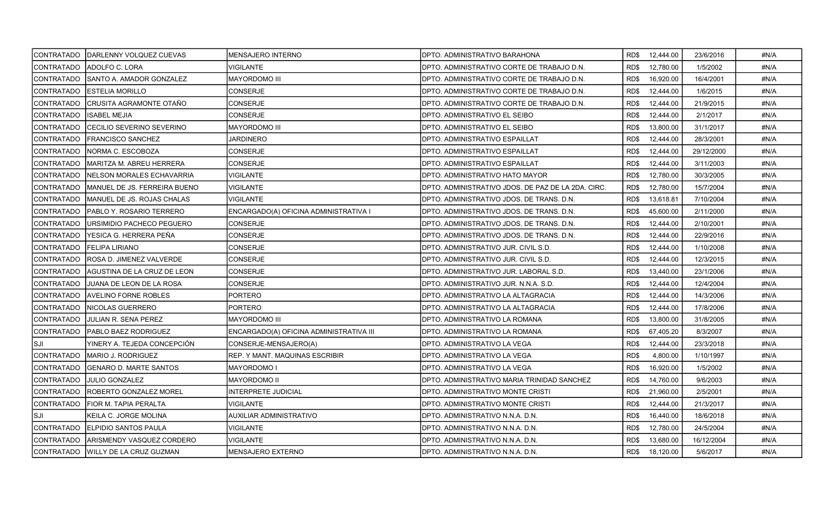| ICONTRATADO       | <b>IDARLENNY VOLQUEZ CUEVAS</b>      | <b>MENSAJERO INTERNO</b>                | DPTO. ADMINISTRATIVO BARAHONA                      | RD\$<br>12,444.00 | 23/6/2016  | #N/A |
|-------------------|--------------------------------------|-----------------------------------------|----------------------------------------------------|-------------------|------------|------|
| <b>CONTRATADO</b> | IADOLFO C. LORA                      | VIGILANTE                               | DPTO. ADMINISTRATIVO CORTE DE TRABAJO D.N.         | RD\$<br>12,780.00 | 1/5/2002   | #N/A |
| <b>CONTRATADO</b> | <b>I</b> SANTO A. AMADOR GONZALEZ    | <b>MAYORDOMO III</b>                    | DPTO. ADMINISTRATIVO CORTE DE TRABAJO D.N.         | 16.920.00<br>RD\$ | 16/4/2001  | #N/A |
| <b>CONTRATADO</b> | <b>IESTELIA MORILLO</b>              | <b>CONSERJE</b>                         | DPTO. ADMINISTRATIVO CORTE DE TRABAJO D.N.         | 12,444.00<br>RD\$ | 1/6/2015   | #N/A |
| CONTRATADO        | <b>CRUSITA AGRAMONTE OTAÑO</b>       | CONSERJE                                | DPTO. ADMINISTRATIVO CORTE DE TRABAJO D.N.         | RD\$<br>12,444.00 | 21/9/2015  | #N/A |
| <b>CONTRATADO</b> | <b>ISABEL MEJIA</b>                  | <b>CONSERJE</b>                         | DPTO. ADMINISTRATIVO EL SEIBO                      | 12,444.00<br>RD\$ | 2/1/2017   | #N/A |
| <b>CONTRATADO</b> | ICECILIO SEVERINO SEVERINO           | MAYORDOMO III                           | DPTO. ADMINISTRATIVO EL SEIBO                      | 13,800.00<br>RD\$ | 31/1/2017  | #N/A |
| ICONTRATADO       | <b>IFRANCISCO SANCHEZ</b>            | <b>JARDINERO</b>                        | DPTO. ADMINISTRATIVO ESPAILLAT                     | RD\$<br>12,444.00 | 28/3/2001  | #N/A |
| <b>CONTRATADO</b> | NORMA C. ESCOBOZA                    | <b>CONSERJE</b>                         | DPTO. ADMINISTRATIVO ESPAILLAT                     | RD\$<br>12,444.00 | 29/12/2000 | #N/A |
| <b>CONTRATADO</b> | <b>IMARITZA M. ABREU HERRERA</b>     | CONSERJE                                | DPTO. ADMINISTRATIVO ESPAILLAT                     | 12,444.00<br>RD\$ | 3/11/2003  | #N/A |
| <b>CONTRATADO</b> | NELSON MORALES ECHAVARRIA            | VIGILANTE                               | DPTO. ADMINISTRATIVO HATO MAYOR                    | 12,780.00<br>RD\$ | 30/3/2005  | #N/A |
| <b>CONTRATADO</b> | MANUEL DE JS. FERREIRA BUENO         | VIGILANTE                               | DPTO. ADMINISTRATIVO JDOS. DE PAZ DE LA 2DA. CIRC. | 12,780.00<br>RD\$ | 15/7/2004  | #N/A |
| <b>CONTRATADO</b> | MANUEL DE JS. ROJAS CHALAS           | <b>VIGILANTE</b>                        | DPTO. ADMINISTRATIVO JDOS. DE TRANS. D.N.          | RD\$<br>13,618.81 | 7/10/2004  | #N/A |
| <b>CONTRATADO</b> | PABLO Y. ROSARIO TERRERO             | ENCARGADO(A) OFICINA ADMINISTRATIVA I   | DPTO. ADMINISTRATIVO JDOS. DE TRANS. D.N.          | RD\$<br>45,600.00 | 2/11/2000  | #N/A |
| CONTRATADO        | URSIMIDIO PACHECO PEGUERO            | CONSERJE                                | DPTO. ADMINISTRATIVO JDOS. DE TRANS. D.N.          | 12,444.00<br>RD\$ | 2/10/2001  | #N/A |
| <b>CONTRATADO</b> | YESICA G. HERRERA PEÑA               | CONSERJE                                | DPTO. ADMINISTRATIVO JDOS. DE TRANS. D.N.          | RD\$<br>12,444.00 | 22/9/2016  | #N/A |
| <b>CONTRATADO</b> | <b>I</b> FELIPA LIRIANO              | CONSERJE                                | DPTO, ADMINISTRATIVO JUR, CIVIL S.D.               | RD\$<br>12,444.00 | 1/10/2008  | #N/A |
| <b>CONTRATADO</b> | ROSA D. JIMENEZ VALVERDE             | CONSERJE                                | DPTO. ADMINISTRATIVO JUR. CIVIL S.D.               | 12,444.00<br>RD\$ | 12/3/2015  | #N/A |
| <b>CONTRATADO</b> | IAGUSTINA DE LA CRUZ DE LEON         | <b>CONSERJE</b>                         | IDPTO. ADMINISTRATIVO JUR. LABORAL S.D.            | RD\$<br>13,440.00 | 23/1/2006  | #N/A |
| <b>CONTRATADO</b> | JUANA DE LEON DE LA ROSA             | CONSERJE                                | DPTO. ADMINISTRATIVO JUR. N.N.A. S.D.              | 12,444.00<br>RD\$ | 12/4/2004  | #N/A |
| <b>CONTRATADO</b> | <b>AVELINO FORNE ROBLES</b>          | <b>PORTERO</b>                          | DPTO. ADMINISTRATIVO LA ALTAGRACIA                 | RD\$<br>12,444.00 | 14/3/2006  | #N/A |
| CONTRATADO        | <b>INICOLAS GUERRERO</b>             | PORTERO                                 | DPTO. ADMINISTRATIVO LA ALTAGRACIA                 | RD\$<br>12,444.00 | 17/8/2006  | #N/A |
| <b>CONTRATADO</b> | JULIAN R. SENA PEREZ                 | <b>MAYORDOMO III</b>                    | DPTO. ADMINISTRATIVO LA ROMANA                     | RD\$<br>13,800.00 | 31/8/2005  | #N/A |
| <b>CONTRATADO</b> | <b>PABLO BAEZ RODRIGUEZ</b>          | ENCARGADO(A) OFICINA ADMINISTRATIVA III | DPTO. ADMINISTRATIVO LA ROMANA                     | RD\$<br>67,405.20 | 8/3/2007   | #N/A |
| SJI]              | YINERY A. TEJEDA CONCEPCIÓN          | CONSERJE-MENSAJERO(A)                   | DPTO. ADMINISTRATIVO LA VEGA                       | RD\$<br>12,444.00 | 23/3/2018  | #N/A |
| <b>CONTRATADO</b> | MARIO J. RODRIGUEZ                   | REP. Y MANT. MAQUINAS ESCRIBIR          | DPTO. ADMINISTRATIVO LA VEGA                       | RD\$<br>4,800.00  | 1/10/1997  | #N/A |
| <b>CONTRATADO</b> | <b>IGENARO D. MARTE SANTOS</b>       | <b>MAYORDOMO I</b>                      | DPTO. ADMINISTRATIVO LA VEGA                       | RD\$<br>16,920.00 | 1/5/2002   | #N/A |
| ICONTRATADO       | <b>JULIO GONZALEZ</b>                | <b>MAYORDOMO II</b>                     | DPTO. ADMINISTRATIVO MARIA TRINIDAD SANCHEZ        | RD\$<br>14,760.00 | 9/6/2003   | #N/A |
| CONTRATADO        | ROBERTO GONZALEZ MOREL               | <b>INTERPRETE JUDICIAL</b>              | DPTO. ADMINISTRATIVO MONTE CRISTI                  | RD\$<br>21,960.00 | 2/5/2001   | #N/A |
| CONTRATADO        | <b>FIOR M. TAPIA PERALTA</b>         | VIGILANTE                               | DPTO. ADMINISTRATIVO MONTE CRISTI                  | 12,444.00<br>RD\$ | 21/3/2017  | #N/A |
| lsji              | KEILA C. JORGE MOLINA                | AUXILIAR ADMINISTRATIVO                 | DPTO. ADMINISTRATIVO N.N.A. D.N.                   | 16,440.00<br>RD\$ | 18/6/2018  | #N/A |
| <b>CONTRATADO</b> | <b>IELPIDIO SANTOS PAULA</b>         | VIGILANTE                               | DPTO. ADMINISTRATIVO N.N.A. D.N.                   | RD\$<br>12,780.00 | 24/5/2004  | #N/A |
| <b>CONTRATADO</b> | ARISMENDY VASQUEZ CORDERO            | <b>VIGILANTE</b>                        | DPTO. ADMINISTRATIVO N.N.A. D.N.                   | 13,680.00<br>RD\$ | 16/12/2004 | #N/A |
|                   | ICONTRATADO IWILLY DE LA CRUZ GUZMAN | <b>MENSAJERO EXTERNO</b>                | DPTO. ADMINISTRATIVO N.N.A. D.N.                   | RD\$<br>18.120.00 | 5/6/2017   | #N/A |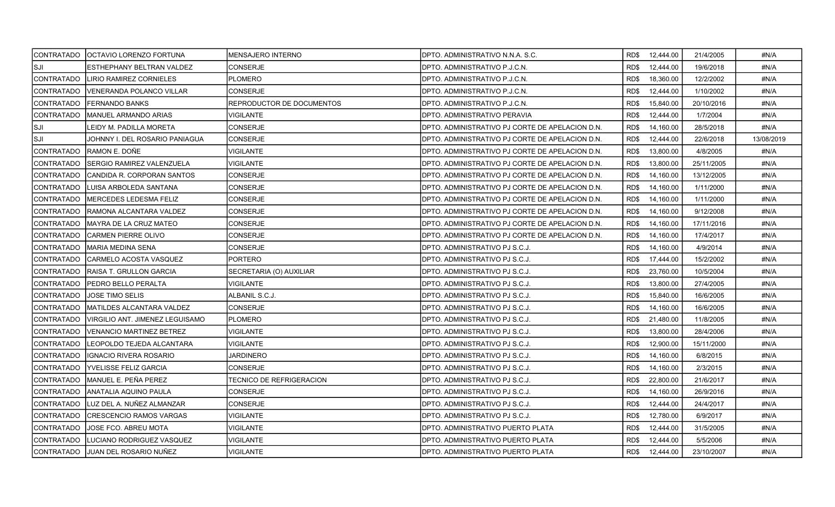|                   | ICONTRATADO   OCTAVIO LORENZO FORTUNA | <b>MENSAJERO INTERNO</b>  | DPTO. ADMINISTRATIVO N.N.A. S.C.                |      | RD\$ 12,444.00 | 21/4/2005  | #N/A       |
|-------------------|---------------------------------------|---------------------------|-------------------------------------------------|------|----------------|------------|------------|
| SJI               | ESTHEPHANY BELTRAN VALDEZ             | <b>CONSERJE</b>           | DPTO. ADMINISTRATIVO P.J.C.N.                   | RD\$ | 12,444.00      | 19/6/2018  | #N/A       |
| ICONTRATADO       | <b>LIRIO RAMIREZ CORNIELES</b>        | <b>PLOMERO</b>            | DPTO. ADMINISTRATIVO P.J.C.N.                   | RD\$ | 18.360.00      | 12/2/2002  | #N/A       |
| ICONTRATADO       | VENERANDA POLANCO VILLAR              | <b>CONSERJE</b>           | DPTO, ADMINISTRATIVO P.J.C.N.                   | RD\$ | 12,444.00      | 1/10/2002  | #N/A       |
| CONTRATADO        | <b>FERNANDO BANKS</b>                 | REPRODUCTOR DE DOCUMENTOS | DPTO. ADMINISTRATIVO P.J.C.N.                   | RD\$ | 15,840.00      | 20/10/2016 | #N/A       |
| ICONTRATADO       | MANUEL ARMANDO ARIAS                  | VIGILANTE                 | DPTO. ADMINISTRATIVO PERAVIA                    | RD\$ | 12,444.00      | 1/7/2004   | #N/A       |
| SJI               | EIDY M. PADILLA MORETA                | <b>CONSERJE</b>           | DPTO. ADMINISTRATIVO PJ CORTE DE APELACION D.N. | RD\$ | 14,160.00      | 28/5/2018  | #N/A       |
| ISJI              | JOHNNY I. DEL ROSARIO PANIAGUA        | <b>CONSERJE</b>           | DPTO. ADMINISTRATIVO PJ CORTE DE APELACION D.N. | RD\$ | 12,444.00      | 22/6/2018  | 13/08/2019 |
| CONTRATADO        | RAMON E. DOÑE                         | VIGILANTE                 | DPTO. ADMINISTRATIVO PJ CORTE DE APELACION D.N. | RD\$ | 13,800.00      | 4/8/2005   | #N/A       |
| CONTRATADO        | SERGIO RAMIREZ VALENZUELA             | <b>VIGILANTE</b>          | DPTO. ADMINISTRATIVO PJ CORTE DE APELACION D.N. | RD\$ | 13,800.00      | 25/11/2005 | #N/A       |
| <b>CONTRATADO</b> | CANDIDA R. CORPORAN SANTOS            | <b>CONSERJE</b>           | DPTO. ADMINISTRATIVO PJ CORTE DE APELACION D.N. | RD\$ | 14,160.00      | 13/12/2005 | #N/A       |
| CONTRATADO        | ILUISA ARBOLEDA SANTANA               | CONSERJE                  | DPTO. ADMINISTRATIVO PJ CORTE DE APELACION D.N. | RD\$ | 14,160.00      | 1/11/2000  | #N/A       |
| CONTRATADO        | MERCEDES LEDESMA FELIZ                | <b>CONSERJE</b>           | DPTO. ADMINISTRATIVO PJ CORTE DE APELACION D.N. | RD\$ | 14,160.00      | 1/11/2000  | #N/A       |
| CONTRATADO        | RAMONA ALCANTARA VALDEZ               | <b>CONSERJE</b>           | DPTO. ADMINISTRATIVO PJ CORTE DE APELACION D.N. | RD\$ | 14,160.00      | 9/12/2008  | #N/A       |
| CONTRATADO        | IMAYRA DE LA CRUZ MATEO               | <b>CONSERJE</b>           | DPTO. ADMINISTRATIVO PJ CORTE DE APELACION D.N. | RD\$ | 14,160.00      | 17/11/2016 | #N/A       |
| CONTRATADO        | CARMEN PIERRE OLIVO                   | <b>CONSERJE</b>           | DPTO. ADMINISTRATIVO PJ CORTE DE APELACION D.N. | RD\$ | 14,160.00      | 17/4/2017  | #N/A       |
| <b>CONTRATADO</b> | IMARIA MEDINA SENA                    | CONSERJE                  | DPTO. ADMINISTRATIVO PJ S.C.J.                  | RD\$ | 14,160.00      | 4/9/2014   | #N/A       |
| CONTRATADO        | CARMELO ACOSTA VASQUEZ                | <b>PORTERO</b>            | DPTO. ADMINISTRATIVO PJ S.C.J.                  | RD\$ | 17,444.00      | 15/2/2002  | #N/A       |
| ICONTRATADO       | RAISA T. GRULLON GARCIA               | SECRETARIA (O) AUXILIAR   | DPTO. ADMINISTRATIVO PJ S.C.J.                  | RD\$ | 23,760.00      | 10/5/2004  | #N/A       |
| CONTRATADO        | <b>PEDRO BELLO PERALTA</b>            | <b>VIGILANTE</b>          | DPTO. ADMINISTRATIVO PJ S.C.J.                  | RD\$ | 13,800.00      | 27/4/2005  | #N/A       |
| CONTRATADO        | JOSE TIMO SELIS                       | ALBANIL S.C.J.            | DPTO. ADMINISTRATIVO PJ S.C.J.                  | RD\$ | 15,840.00      | 16/6/2005  | #N/A       |
| CONTRATADO        | MATILDES ALCANTARA VALDEZ             | <b>CONSERJE</b>           | DPTO. ADMINISTRATIVO PJ S.C.J.                  | RD\$ | 14,160.00      | 16/6/2005  | #N/A       |
| ICONTRATADO       | VIRGILIO ANT. JIMENEZ LEGUISAMO       | <b>PLOMERO</b>            | DPTO. ADMINISTRATIVO PJ S.C.J.                  | RD\$ | 21,480.00      | 11/8/2005  | #N/A       |
| CONTRATADO        | <b>VENANCIO MARTINEZ BETREZ</b>       | <b>VIGILANTE</b>          | DPTO. ADMINISTRATIVO PJ S.C.J.                  | RD\$ | 13,800.00      | 28/4/2006  | #N/A       |
| CONTRATADO        | ILEOPOLDO TEJEDA ALCANTARA            | <b>VIGILANTE</b>          | DPTO. ADMINISTRATIVO PJ S.C.J.                  | RD\$ | 12,900.00      | 15/11/2000 | #N/A       |
| <b>CONTRATADO</b> | <b>IGNACIO RIVERA ROSARIO</b>         | <b>JARDINERO</b>          | DPTO. ADMINISTRATIVO PJ S.C.J.                  | RD\$ | 14,160.00      | 6/8/2015   | #N/A       |
| CONTRATADO        | <b>YVELISSE FELIZ GARCIA</b>          | CONSERJE                  | DPTO. ADMINISTRATIVO PJ S.C.J.                  | RD\$ | 14,160.00      | 2/3/2015   | #N/A       |
| ICONTRATADO       | IMANUEL E. PEÑA PEREZ                 | TECNICO DE REFRIGERACION  | DPTO. ADMINISTRATIVO PJ S.C.J.                  | RD\$ | 22,800.00      | 21/6/2017  | #N/A       |
| CONTRATADO        | ANATALIA AQUINO PAULA                 | <b>CONSERJE</b>           | DPTO. ADMINISTRATIVO PJ S.C.J.                  | RD\$ | 14,160.00      | 26/9/2016  | #N/A       |
| CONTRATADO        | LUZ DEL A. NUÑEZ ALMANZAR             | CONSERJE                  | DPTO. ADMINISTRATIVO PJ S.C.J.                  | RD\$ | 12,444.00      | 24/4/2017  | #N/A       |
| CONTRATADO        | <b>CRESCENCIO RAMOS VARGAS</b>        | VIGILANTE                 | DPTO. ADMINISTRATIVO PJ S.C.J.                  | RD\$ | 12,780.00      | 6/9/2017   | #N/A       |
| CONTRATADO        | JOSE FCO. ABREU MOTA                  | VIGILANTE                 | DPTO. ADMINISTRATIVO PUERTO PLATA               | RD\$ | 12,444.00      | 31/5/2005  | #N/A       |
| CONTRATADO        | LUCIANO RODRIGUEZ VASQUEZ             | <b>VIGILANTE</b>          | DPTO. ADMINISTRATIVO PUERTO PLATA               | RD\$ | 12,444.00      | 5/5/2006   | #N/A       |
|                   | ICONTRATADO   IJUAN DEL ROSARIO NUÑEZ | <b>VIGILANTE</b>          | DPTO. ADMINISTRATIVO PUERTO PLATA               | RD\$ | 12,444.00      | 23/10/2007 | #N/A       |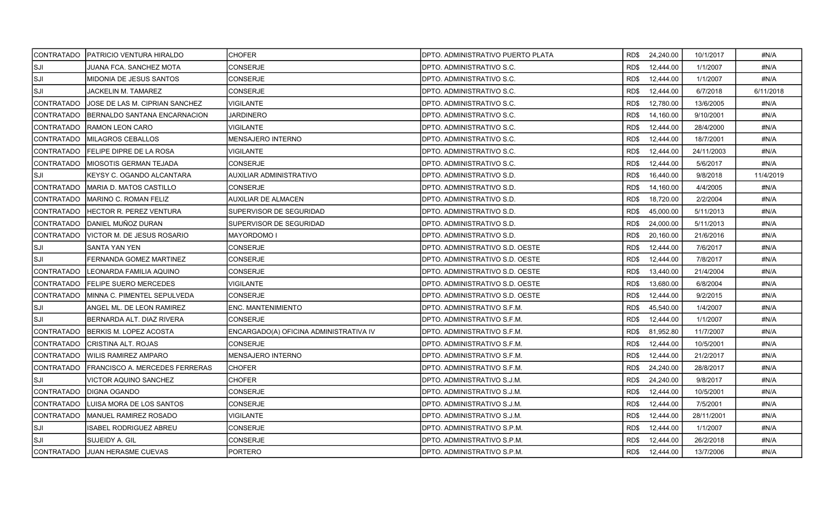| <b>CONTRATADO</b> | <b>PATRICIO VENTURA HIRALDO</b>       | <b>CHOFER</b>                          | <b>IDPTO. ADMINISTRATIVO PUERTO PLATA</b> | RD\$ 24,240.00    | 10/1/2017  | #N/A      |
|-------------------|---------------------------------------|----------------------------------------|-------------------------------------------|-------------------|------------|-----------|
| SJI               | JUANA FCA. SANCHEZ MOTA               | <b>CONSERJE</b>                        | DPTO. ADMINISTRATIVO S.C.                 | RD\$<br>12,444.00 | 1/1/2007   | #N/A      |
| SJI               | MIDONIA DE JESUS SANTOS               | <b>CONSERJE</b>                        | DPTO. ADMINISTRATIVO S.C.                 | RD\$<br>12,444.00 | 1/1/2007   | #N/A      |
| SJI]              | JACKELIN M. TAMAREZ                   | <b>CONSERJE</b>                        | DPTO. ADMINISTRATIVO S.C.                 | RD\$<br>12,444.00 | 6/7/2018   | 6/11/2018 |
| <b>CONTRATADO</b> | JOSE DE LAS M. CIPRIAN SANCHEZ        | VIGILANTE                              | DPTO. ADMINISTRATIVO S.C.                 | RD\$<br>12,780.00 | 13/6/2005  | #N/A      |
| <b>CONTRATADO</b> | BERNALDO SANTANA ENCARNACION          | JARDINERO                              | DPTO. ADMINISTRATIVO S.C.                 | RD\$<br>14,160.00 | 9/10/2001  | #N/A      |
| <b>CONTRATADO</b> | <b>RAMON LEON CARO</b>                | VIGILANTE                              | DPTO. ADMINISTRATIVO S.C.                 | RD\$<br>12,444.00 | 28/4/2000  | #N/A      |
| CONTRATADO        | <b>MILAGROS CEBALLOS</b>              | MENSAJERO INTERNO                      | IDPTO. ADMINISTRATIVO S.C.                | RD\$<br>12,444.00 | 18/7/2001  | #N/A      |
| <b>CONTRATADO</b> | <b>FELIPE DIPRE DE LA ROSA</b>        | VIGILANTE                              | DPTO, ADMINISTRATIVO S.C.                 | RD\$<br>12,444.00 | 24/11/2003 | #N/A      |
| <b>CONTRATADO</b> | IMIOSOTIS GERMAN TEJADA               | CONSERJE                               | DPTO, ADMINISTRATIVO S.C.                 | 12,444.00<br>RD\$ | 5/6/2017   | #N/A      |
| SJI               | KEYSY C. OGANDO ALCANTARA             | AUXILIAR ADMINISTRATIVO                | DPTO. ADMINISTRATIVO S.D.                 | RD\$<br>16,440.00 | 9/8/2018   | 11/4/2019 |
| CONTRATADO        | MARIA D. MATOS CASTILLO               | <b>CONSERJE</b>                        | DPTO. ADMINISTRATIVO S.D.                 | RD\$<br>14,160.00 | 4/4/2005   | #N/A      |
| <b>CONTRATADO</b> | <b>MARINO C. ROMAN FELIZ</b>          | <b>AUXILIAR DE ALMACEN</b>             | DPTO. ADMINISTRATIVO S.D.                 | RD\$<br>18,720.00 | 2/2/2004   | #N/A      |
| <b>CONTRATADO</b> | IHECTOR R. PEREZ VENTURA              | SUPERVISOR DE SEGURIDAD                | DPTO. ADMINISTRATIVO S.D.                 | RD\$<br>45,000.00 | 5/11/2013  | #N/A      |
| <b>CONTRATADO</b> | DANIEL MUÑOZ DURAN                    | SUPERVISOR DE SEGURIDAD                | DPTO. ADMINISTRATIVO S.D.                 | 24,000.00<br>RD\$ | 5/11/2013  | #N/A      |
| <b>CONTRATADO</b> | VICTOR M. DE JESUS ROSARIO            | MAYORDOMO I                            | DPTO. ADMINISTRATIVO S.D.                 | RD\$<br>20,160.00 | 21/6/2016  | #N/A      |
| SJI               | <b>SANTA YAN YEN</b>                  | <b>CONSERJE</b>                        | DPTO. ADMINISTRATIVO S.D. OESTE           | RD\$<br>12,444.00 | 7/6/2017   | #N/A      |
| <b>SJI</b>        | FERNANDA GOMEZ MARTINEZ               | <b>CONSERJE</b>                        | IDPTO. ADMINISTRATIVO S.D. OESTE          | RD\$<br>12,444.00 | 7/8/2017   | #N/A      |
| <b>CONTRATADO</b> | LEONARDA FAMILIA AQUINO               | <b>CONSERJE</b>                        | DPTO. ADMINISTRATIVO S.D. OESTE           | RD\$<br>13,440.00 | 21/4/2004  | #N/A      |
| <b>CONTRATADO</b> | <b>IFELIPE SUERO MERCEDES</b>         | <b>VIGILANTE</b>                       | DPTO. ADMINISTRATIVO S.D. OESTE           | 13.680.00<br>RD\$ | 6/8/2004   | #N/A      |
| <b>CONTRATADO</b> | MINNA C. PIMENTEL SEPULVEDA           | CONSERJE                               | DPTO. ADMINISTRATIVO S.D. OESTE           | 12,444.00<br>RD\$ | 9/2/2015   | #N/A      |
| SJI               | ANGEL ML. DE LEON RAMIREZ             | ENC. MANTENIMIENTO                     | DPTO. ADMINISTRATIVO S.F.M.               | RD\$<br>45,540.00 | 1/4/2007   | #N/A      |
| SJI               | BERNARDA ALT. DIAZ RIVERA             | <b>CONSERJE</b>                        | DPTO. ADMINISTRATIVO S.F.M.               | RD\$<br>12,444.00 | 1/1/2007   | #N/A      |
| CONTRATADO        | BERKIS M. LOPEZ ACOSTA                | ENCARGADO(A) OFICINA ADMINISTRATIVA IV | DPTO. ADMINISTRATIVO S.F.M.               | RD\$<br>81,952.80 | 11/7/2007  | #N/A      |
| <b>CONTRATADO</b> | CRISTINA ALT. ROJAS                   | CONSERJE                               | DPTO. ADMINISTRATIVO S.F.M.               | 12,444.00<br>RD\$ | 10/5/2001  | #N/A      |
| CONTRATADO        | <b>WILIS RAMIREZ AMPARO</b>           | MENSAJERO INTERNO                      | DPTO. ADMINISTRATIVO S.F.M.               | RD\$<br>12,444.00 | 21/2/2017  | #N/A      |
| <b>CONTRATADO</b> | <b>FRANCISCO A. MERCEDES FERRERAS</b> | <b>CHOFER</b>                          | DPTO. ADMINISTRATIVO S.F.M.               | RD\$<br>24,240.00 | 28/8/2017  | #N/A      |
| SJI               | <b>VICTOR AQUINO SANCHEZ</b>          | <b>CHOFER</b>                          | DPTO. ADMINISTRATIVO S.J.M.               | RD\$<br>24,240.00 | 9/8/2017   | #N/A      |
| CONTRATADO        | <b>IDIGNA OGANDO</b>                  | <b>CONSERJE</b>                        | DPTO. ADMINISTRATIVO S.J.M.               | RD\$<br>12,444.00 | 10/5/2001  | #N/A      |
| CONTRATADO        | LUISA MORA DE LOS SANTOS              | CONSERJE                               | DPTO. ADMINISTRATIVO S.J.M.               | 12,444.00<br>RD\$ | 7/5/2001   | #N/A      |
| <b>CONTRATADO</b> | IMANUEL RAMIREZ ROSADO                | <b>VIGILANTE</b>                       | DPTO. ADMINISTRATIVO S.J.M.               | RD\$<br>12,444.00 | 28/11/2001 | #N/A      |
| <b>SJI</b>        | SABEL RODRIGUEZ ABREU                 | <b>CONSERJE</b>                        | DPTO. ADMINISTRATIVO S.P.M.               | RD\$<br>12,444.00 | 1/1/2007   | #N/A      |
| <b>SJI</b>        | SUJEIDY A. GIL                        | <b>CONSERJE</b>                        | DPTO. ADMINISTRATIVO S.P.M.               | RD\$<br>12,444.00 | 26/2/2018  | #N/A      |
|                   | CONTRATADO JJUAN HERASME CUEVAS       | PORTERO                                | <b>DPTO. ADMINISTRATIVO S.P.M.</b>        | RD\$ 12,444.00    | 13/7/2006  | #N/A      |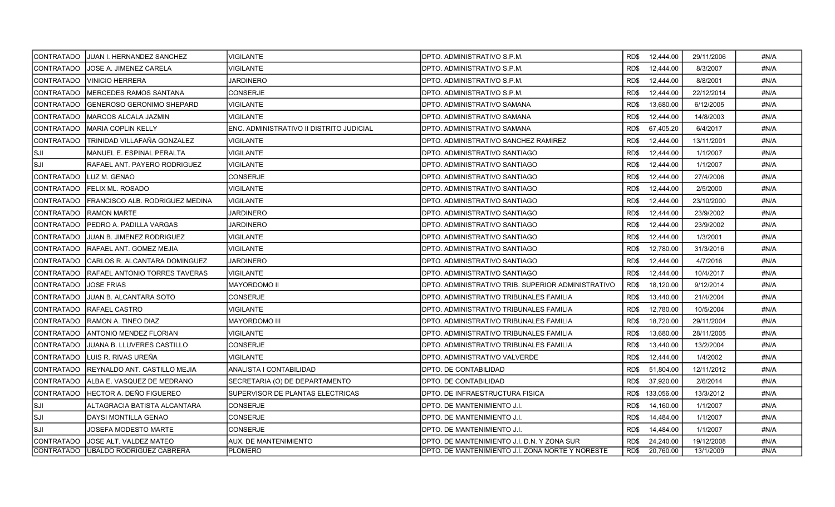|                   | CONTRATADO   JUAN I. HERNANDEZ SANCHEZ | <b>VIGILANTE</b>                         | DPTO. ADMINISTRATIVO S.P.M.                        |      | RD\$ 12,444.00  | 29/11/2006 | #N/A |
|-------------------|----------------------------------------|------------------------------------------|----------------------------------------------------|------|-----------------|------------|------|
| <b>CONTRATADO</b> | JOSE A. JIMENEZ CARELA                 | <b>VIGILANTE</b>                         | DPTO. ADMINISTRATIVO S.P.M.                        | RD\$ | 12,444.00       | 8/3/2007   | #N/A |
| CONTRATADO        | <b>VINICIO HERRERA</b>                 | <b>JARDINERO</b>                         | DPTO. ADMINISTRATIVO S.P.M.                        | RD\$ | 12,444.00       | 8/8/2001   | #N/A |
| CONTRATADO        | IMERCEDES RAMOS SANTANA                | <b>CONSERJE</b>                          | DPTO. ADMINISTRATIVO S.P.M.                        | RD\$ | 12,444.00       | 22/12/2014 | #N/A |
| CONTRATADO        | GENEROSO GERONIMO SHEPARD              | VIGILANTE                                | DPTO. ADMINISTRATIVO SAMANA                        | RD\$ | 13,680.00       | 6/12/2005  | #N/A |
| <b>CONTRATADO</b> | IMARCOS ALCALA JAZMIN                  | VIGILANTE                                | DPTO. ADMINISTRATIVO SAMANA                        | RD\$ | 12,444.00       | 14/8/2003  | #N/A |
| <b>CONTRATADO</b> | <b>MARIA COPLIN KELLY</b>              | ENC. ADMINISTRATIVO II DISTRITO JUDICIAL | DPTO. ADMINISTRATIVO SAMANA                        | RD\$ | 67,405.20       | 6/4/2017   | #N/A |
| CONTRATADO        | TRINIDAD VILLAFAÑA GONZALEZ            | <b>VIGILANTE</b>                         | DPTO. ADMINISTRATIVO SANCHEZ RAMIREZ               | RD\$ | 12,444.00       | 13/11/2001 | #N/A |
| ISJI              | MANUEL E. ESPINAL PERALTA              | <b>VIGILANTE</b>                         | DPTO. ADMINISTRATIVO SANTIAGO                      | RD\$ | 12,444.00       | 1/1/2007   | #N/A |
| Isji              | RAFAEL ANT. PAYERO RODRIGUEZ           | VIGILANTE                                | DPTO. ADMINISTRATIVO SANTIAGO                      | RD\$ | 12,444.00       | 1/1/2007   | #N/A |
| CONTRATADO        | LUZ M. GENAO                           | CONSERJE                                 | DPTO. ADMINISTRATIVO SANTIAGO                      | RD\$ | 12,444.00       | 27/4/2006  | #N/A |
| <b>CONTRATADO</b> | <b>FELIX ML. ROSADO</b>                | <b>VIGILANTE</b>                         | DPTO. ADMINISTRATIVO SANTIAGO                      | RD\$ | 12,444.00       | 2/5/2000   | #N/A |
| CONTRATADO        | FRANCISCO ALB. RODRIGUEZ MEDINA        | <b>VIGILANTE</b>                         | DPTO. ADMINISTRATIVO SANTIAGO                      | RD\$ | 12,444.00       | 23/10/2000 | #N/A |
| CONTRATADO        | <b>RAMON MARTE</b>                     | JARDINERO                                | DPTO. ADMINISTRATIVO SANTIAGO                      | RD\$ | 12,444.00       | 23/9/2002  | #N/A |
| CONTRATADO        | PEDRO A. PADILLA VARGAS                | JARDINERO                                | DPTO. ADMINISTRATIVO SANTIAGO                      | RD\$ | 12,444.00       | 23/9/2002  | #N/A |
| CONTRATADO        | <b>JUAN B. JIMENEZ RODRIGUEZ</b>       | VIGILANTE                                | DPTO. ADMINISTRATIVO SANTIAGO                      | RD\$ | 12,444.00       | 1/3/2001   | #N/A |
| CONTRATADO        | IRAFAEL ANT. GOMEZ MEJIA               | <b>VIGILANTE</b>                         | DPTO. ADMINISTRATIVO SANTIAGO                      | RD\$ | 12,780.00       | 31/3/2016  | #N/A |
| CONTRATADO        | <b>CARLOS R. ALCANTARA DOMINGUEZ</b>   | <b>JARDINERO</b>                         | DPTO. ADMINISTRATIVO SANTIAGO                      | RD\$ | 12,444.00       | 4/7/2016   | #N/A |
| CONTRATADO        | <b>RAFAEL ANTONIO TORRES TAVERAS</b>   | VIGILANTE                                | DPTO. ADMINISTRATIVO SANTIAGO                      | RD\$ | 12,444.00       | 10/4/2017  | #N/A |
| CONTRATADO        | <b>JOSE FRIAS</b>                      | MAYORDOMO II                             | DPTO. ADMINISTRATIVO TRIB. SUPERIOR ADMINISTRATIVO | RD\$ | 18,120.00       | 9/12/2014  | #N/A |
| CONTRATADO        | JUAN B. ALCANTARA SOTO                 | <b>CONSERJE</b>                          | DPTO. ADMINISTRATIVO TRIBUNALES FAMILIA            | RD\$ | 13,440.00       | 21/4/2004  | #N/A |
| CONTRATADO        | RAFAEL CASTRO                          | VIGILANTE                                | DPTO. ADMINISTRATIVO TRIBUNALES FAMILIA            | RD\$ | 12,780.00       | 10/5/2004  | #N/A |
| CONTRATADO        | RAMON A. TINEO DIAZ                    | <b>MAYORDOMO III</b>                     | DPTO. ADMINISTRATIVO TRIBUNALES FAMILIA            | RD\$ | 18,720.00       | 29/11/2004 | #N/A |
| CONTRATADO        | ANTONIO MENDEZ FLORIAN                 | VIGILANTE                                | DPTO. ADMINISTRATIVO TRIBUNALES FAMILIA            | RD\$ | 13,680.00       | 28/11/2005 | #N/A |
| ICONTRATADO       | JUANA B. LLUVERES CASTILLO             | <b>CONSERJE</b>                          | DPTO. ADMINISTRATIVO TRIBUNALES FAMILIA            | RD\$ | 13,440.00       | 13/2/2004  | #N/A |
| ICONTRATADO       | <b>I</b> LUIS R. RIVAS UREÑA           | <b>VIGILANTE</b>                         | DPTO. ADMINISTRATIVO VALVERDE                      | RD\$ | 12,444.00       | 1/4/2002   | #N/A |
| CONTRATADO        | REYNALDO ANT. CASTILLO MEJIA           | ANALISTA I CONTABILIDAD                  | DPTO. DE CONTABILIDAD                              | RD\$ | 51,804.00       | 12/11/2012 | #N/A |
| CONTRATADO        | ALBA E. VASQUEZ DE MEDRANO             | SECRETARIA (O) DE DEPARTAMENTO           | DPTO. DE CONTABILIDAD                              | RD\$ | 37,920.00       | 2/6/2014   | #N/A |
| CONTRATADO        | IHECTOR A. DEÑO FIGUEREO               | SUPERVISOR DE PLANTAS ELECTRICAS         | DPTO. DE INFRAESTRUCTURA FISICA                    |      | RD\$ 133,056.00 | 13/3/2012  | #N/A |
| SJI               | ALTAGRACIA BATISTA ALCANTARA           | <b>CONSERJE</b>                          | DPTO. DE MANTENIMIENTO J.I.                        | RD\$ | 14,160.00       | 1/1/2007   | #N/A |
| lsji              | DAYSI MONTILLA GENAO                   | <b>CONSERJE</b>                          | DPTO. DE MANTENIMIENTO J.I.                        | RD\$ | 14,484.00       | 1/1/2007   | #N/A |
| ISJI              | JOSEFA MODESTO MARTE                   | <b>CONSERJE</b>                          | DPTO. DE MANTENIMIENTO J.I.                        | RD\$ | 14,484.00       | 1/1/2007   | #N/A |
| CONTRATADO        | IJOSE ALT. VALDEZ MATEO                | AUX. DE MANTENIMIENTO                    | DPTO. DE MANTENIMIENTO J.I. D.N. Y ZONA SUR        | RD\$ | 24,240.00       | 19/12/2008 | #N/A |
|                   | CONTRATADO   UBALDO RODRIGUEZ CABRERA  | <b>PLOMERO</b>                           | DPTO. DE MANTENIMIENTO J.I. ZONA NORTE Y NORESTE   | RD\$ | 20,760.00       | 13/1/2009  | #N/A |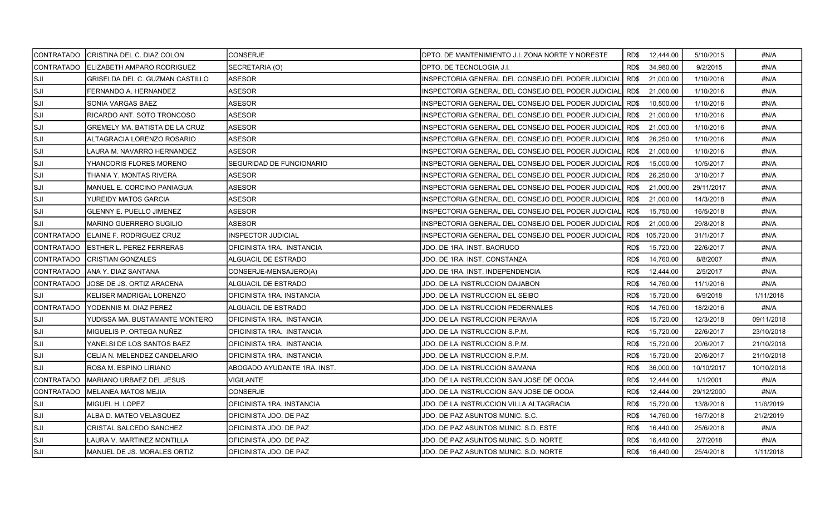| CONTRATADO  | CRISTINA DEL C. DIAZ COLON      | <b>CONSERJE</b>                  | IDPTO. DE MANTENIMIENTO J.I. ZONA NORTE Y NORESTE  |      | RD\$ 12,444.00  | 5/10/2015  | #N/A       |
|-------------|---------------------------------|----------------------------------|----------------------------------------------------|------|-----------------|------------|------------|
| CONTRATADO  | IELIZABETH AMPARO RODRIGUEZ     | SECRETARIA (O)                   | IDPTO. DE TECNOLOGIA J.I.                          | RD\$ | 34,980.00       | 9/2/2015   | #N/A       |
| lsji        | GRISELDA DEL C. GUZMAN CASTILLO | ASESOR                           | INSPECTORIA GENERAL DEL CONSEJO DEL PODER JUDICIAL | RD\$ | 21,000.00       | 1/10/2016  | #N/A       |
| lsji        | FERNANDO A. HERNANDEZ           | <b>ASESOR</b>                    | INSPECTORIA GENERAL DEL CONSEJO DEL PODER JUDICIAL | RD\$ | 21,000.00       | 1/10/2016  | #N/A       |
| lsji        | SONIA VARGAS BAEZ               | <b>ASESOR</b>                    | INSPECTORIA GENERAL DEL CONSEJO DEL PODER JUDICIAL | RD\$ | 10,500.00       | 1/10/2016  | #N/A       |
| Isji        | RICARDO ANT. SOTO TRONCOSO      | ASESOR                           | INSPECTORIA GENERAL DEL CONSEJO DEL PODER JUDICIAL | RD\$ | 21.000.00       | 1/10/2016  | #N/A       |
| ISJI        | GREMELY MA. BATISTA DE LA CRUZ  | ASESOR                           | INSPECTORIA GENERAL DEL CONSEJO DEL PODER JUDICIAL | RD\$ | 21,000.00       | 1/10/2016  | #N/A       |
| lsji        | ALTAGRACIA LORENZO ROSARIO      | ASESOR                           | INSPECTORIA GENERAL DEL CONSEJO DEL PODER JUDICIAL | RD\$ | 26,250.00       | 1/10/2016  | #N/A       |
| SJI]        | LAURA M. NAVARRO HERNANDEZ      | ASESOR                           | INSPECTORIA GENERAL DEL CONSEJO DEL PODER JUDICIAL | RD\$ | 21,000.00       | 1/10/2016  | #N/A       |
| SJI         | YHANCORIS FLORES MORENO         | SEGURIDAD DE FUNCIONARIO         | INSPECTORIA GENERAL DEL CONSEJO DEL PODER JUDICIAL | RD\$ | 15,000.00       | 10/5/2017  | #N/A       |
| lsji        | THANIA Y. MONTAS RIVERA         | ASESOR                           | INSPECTORIA GENERAL DEL CONSEJO DEL PODER JUDICIAL | RD\$ | 26,250.00       | 3/10/2017  | #N/A       |
| ISJI        | MANUEL E. CORCINO PANIAGUA      | <b>ASESOR</b>                    | INSPECTORIA GENERAL DEL CONSEJO DEL PODER JUDICIAL | RD\$ | 21,000.00       | 29/11/2017 | #N/A       |
| SJI         | YUREIDY MATOS GARCIA            | <b>ASESOR</b>                    | INSPECTORIA GENERAL DEL CONSEJO DEL PODER JUDICIAL | RD\$ | 21,000.00       | 14/3/2018  | #N/A       |
| SJI]        | <b>GLENNY E. PUELLO JIMENEZ</b> | ASESOR                           | INSPECTORIA GENERAL DEL CONSEJO DEL PODER JUDICIAL | RD\$ | 15,750.00       | 16/5/2018  | #N/A       |
| lsji        | <b>MARINO GUERRERO SUGILIO</b>  | ASESOR                           | INSPECTORIA GENERAL DEL CONSEJO DEL PODER JUDICIAL | RD\$ | 21,000.00       | 29/8/2018  | #N/A       |
| CONTRATADO  | ELAINE F. RODRIGUEZ CRUZ        | <b>INSPECTOR JUDICIAL</b>        | INSPECTORIA GENERAL DEL CONSEJO DEL PODER JUDICIAL |      | RD\$ 105,720.00 | 31/1/2017  | #N/A       |
| CONTRATADO  | <b>ESTHER L. PEREZ FERRERAS</b> | OFICINISTA 1RA. INSTANCIA        | JDO. DE 1RA. INST. BAORUCO                         | RD\$ | 15,720.00       | 22/6/2017  | #N/A       |
| ICONTRATADO | <b>CRISTIAN GONZALES</b>        | <b>ALGUACIL DE ESTRADO</b>       | JDO. DE 1RA. INST. CONSTANZA                       | RD\$ | 14,760.00       | 8/8/2007   | #N/A       |
| CONTRATADO  | ANA Y. DIAZ SANTANA             | CONSERJE-MENSAJERO(A)            | JDO. DE 1RA. INST. INDEPENDENCIA                   | RD\$ | 12,444.00       | 2/5/2017   | #N/A       |
| CONTRATADO  | JOSE DE JS. ORTIZ ARACENA       | ALGUACIL DE ESTRADO              | JDO. DE LA INSTRUCCION DAJABON.                    | RD\$ | 14.760.00       | 11/1/2016  | #N/A       |
| ISJI        | KELISER MADRIGAL LORENZO        | OFICINISTA 1RA. INSTANCIA        | JDO. DE LA INSTRUCCION EL SEIBO                    | RD\$ | 15,720.00       | 6/9/2018   | 1/11/2018  |
| CONTRATADO  | YODENNIS M. DIAZ PEREZ          | ALGUACIL DE ESTRADO              | JDO. DE LA INSTRUCCION PEDERNALES                  | RD\$ | 14,760.00       | 18/2/2016  | #N/A       |
| lsji        | YUDISSA MA. BUSTAMANTE MONTERO  | <b>OFICINISTA 1RA. INSTANCIA</b> | JDO. DE LA INSTRUCCION PERAVIA                     | RD\$ | 15,720.00       | 12/3/2018  | 09/11/2018 |
| SJI         | MIGUELIS P. ORTEGA NUÑEZ        | OFICINISTA 1RA. INSTANCIA        | JDO. DE LA INSTRUCCION S.P.M.                      | RD\$ | 15,720.00       | 22/6/2017  | 23/10/2018 |
| lsji        | YANELSI DE LOS SANTOS BAEZ      | OFICINISTA 1RA. INSTANCIA        | JDO. DE LA INSTRUCCION S.P.M.                      | RD\$ | 15,720.00       | 20/6/2017  | 21/10/2018 |
| lsji        | CELIA N. MELENDEZ CANDELARIO    | OFICINISTA 1RA. INSTANCIA        | JDO. DE LA INSTRUCCION S.P.M.                      | RD\$ | 15,720.00       | 20/6/2017  | 21/10/2018 |
| SJI         | ROSA M. ESPINO LIRIANO          | ABOGADO AYUDANTE 1RA. INST.      | JDO. DE LA INSTRUCCION SAMANA                      | RD\$ | 36,000.00       | 10/10/2017 | 10/10/2018 |
| CONTRATADO  | MARIANO URBAEZ DEL JESUS        | <b>VIGILANTE</b>                 | JDO. DE LA INSTRUCCION SAN JOSE DE OCOA            | RD\$ | 12,444.00       | 1/1/2001   | #N/A       |
| CONTRATADO  | <b>MELANEA MATOS MEJIA</b>      | <b>CONSERJE</b>                  | JDO. DE LA INSTRUCCION SAN JOSE DE OCOA            | RD\$ | 12,444.00       | 29/12/2000 | #N/A       |
| ISJI        | MIGUEL H. LOPEZ                 | OFICINISTA 1RA. INSTANCIA        | JDO. DE LA INSTRUCCION VILLA ALTAGRACIA            | RD\$ | 15,720.00       | 13/8/2018  | 11/6/2019  |
| SJI         | ALBA D. MATEO VELASQUEZ         | OFICINISTA JDO. DE PAZ           | JDO. DE PAZ ASUNTOS MUNIC. S.C.                    | RD\$ | 14,760.00       | 16/7/2018  | 21/2/2019  |
| lsji        | CRISTAL SALCEDO SANCHEZ         | OFICINISTA JDO. DE PAZ           | JDO. DE PAZ ASUNTOS MUNIC. S.D. ESTE               | RD\$ | 16,440.00       | 25/6/2018  | #N/A       |
| lsji        | LAURA V. MARTINEZ MONTILLA      | OFICINISTA JDO. DE PAZ           | JDO. DE PAZ ASUNTOS MUNIC. S.D. NORTE              | RD\$ | 16,440.00       | 2/7/2018   | #N/A       |
| SJI]        | MANUEL DE JS. MORALES ORTIZ     | OFICINISTA JDO. DE PAZ           | JDO. DE PAZ ASUNTOS MUNIC. S.D. NORTE              |      | RD\$ 16,440.00  | 25/4/2018  | 1/11/2018  |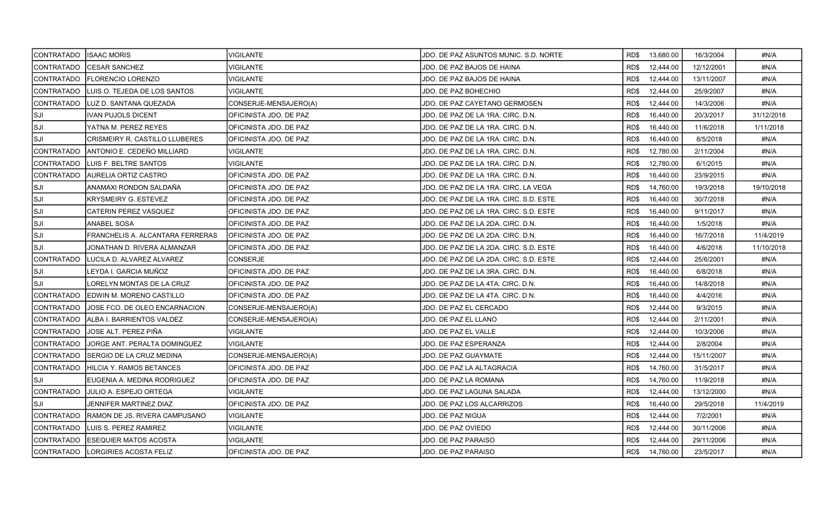| CONTRATADO  | <b>ISAAC MORIS</b>                  | VIGILANTE                      | JDO. DE PAZ ASUNTOS MUNIC. S.D. NORTE  | RD\$ | 13,680.00 | 16/3/2004  | #N/A       |
|-------------|-------------------------------------|--------------------------------|----------------------------------------|------|-----------|------------|------------|
| CONTRATADO  | <b>CESAR SANCHEZ</b>                | <b>VIGILANTE</b>               | JDO. DE PAZ BAJOS DE HAINA             | RD\$ | 12,444.00 | 12/12/2001 | #N/A       |
| CONTRATADO  | <b>FLORENCIO LORENZO</b>            | <b>VIGILANTE</b>               | JDO. DE PAZ BAJOS DE HAINA             | RD\$ | 12,444.00 | 13/11/2007 | #N/A       |
| CONTRATADO  | ILUIS O. TEJEDA DE LOS SANTOS       | <b>VIGILANTE</b>               | JDO. DE PAZ BOHECHIO                   | RD\$ | 12,444.00 | 25/9/2007  | #N/A       |
| CONTRATADO  | LUZ D. SANTANA QUEZADA              | CONSERJE-MENSAJERO(A)          | JDO. DE PAZ CAYETANO GERMOSEN          | RD\$ | 12,444.00 | 14/3/2006  | #N/A       |
| SJI         | IVAN PUJOLS DICENT                  | OFICINISTA JDO. DE PAZ         | JDO. DE PAZ DE LA 1RA. CIRC. D.N.      | RD\$ | 16,440.00 | 20/3/2017  | 31/12/2018 |
| ISJI        | YATNA M. PEREZ REYES                | OFICINISTA JDO. DE PAZ         | JDO. DE PAZ DE LA 1RA. CIRC. D.N.      | RD\$ | 16,440.00 | 11/6/2018  | 1/11/2018  |
| lsji        | CRISMEIRY R. CASTILLO LLUBERES      | OFICINISTA JDO. DE PAZ         | JDO. DE PAZ DE LA 1RA. CIRC. D.N.      | RD\$ | 16,440.00 | 8/5/2018   | #N/A       |
| CONTRATADO  | IANTONIO E. CEDEÑO MILLIARD         | VIGILANTE                      | JDO. DE PAZ DE LA 1RA. CIRC. D.N.      | RD\$ | 12,780.00 | 2/11/2004  | #N/A       |
| CONTRATADO  | LUIS F. BELTRE SANTOS               | <b>VIGILANTE</b>               | JDO. DE PAZ DE LA 1RA. CIRC. D.N.      | RD\$ | 12,780.00 | 6/1/2015   | #N/A       |
| CONTRATADO  | AURELIA ORTIZ CASTRO                | OFICINISTA JDO. DE PAZ         | JDO. DE PAZ DE LA 1RA. CIRC. D.N.      | RD\$ | 16,440.00 | 23/9/2015  | #N/A       |
| ISJI        | ANAMAXI RONDON SALDAÑA              | OFICINISTA JDO. DE PAZ         | JDO. DE PAZ DE LA 1RA. CIRC. LA VEGA   | RD\$ | 14,760.00 | 19/3/2018  | 19/10/2018 |
| SJI         | KRYSMEIRY G. ESTEVEZ                | OFICINISTA JDO. DE PAZ         | JDO. DE PAZ DE LA 1RA. CIRC. S.D. ESTE | RD\$ | 16,440.00 | 30/7/2018  | #N/A       |
| SJI]        | <b>CATERIN PEREZ VASQUEZ</b>        | IOFICINISTA JDO. DE PAZ        | JDO. DE PAZ DE LA 1RA. CIRC. S.D. ESTE | RD\$ | 16,440.00 | 9/11/2017  | #N/A       |
| lsji        | <b>ANABEL SOSA</b>                  | IOFICINISTA JDO. DE PAZ        | JDO. DE PAZ DE LA 2DA. CIRC. D.N.      | RD\$ | 16,440.00 | 1/5/2018   | #N/A       |
| lsji        | FRANCHELIS A. ALCANTARA FERRERAS    | <b>OFICINISTA JDO. DE PAZ</b>  | JDO. DE PAZ DE LA 2DA. CIRC. D.N.      | RD\$ | 16,440.00 | 16/7/2018  | 11/4/2019  |
| ISJI        | JONATHAN D. RIVERA ALMANZAR         | IOFICINISTA JDO. DE PAZ        | JDO. DE PAZ DE LA 2DA. CIRC. S.D. ESTE | RD\$ | 16,440.00 | 4/6/2018   | 11/10/2018 |
| CONTRATADO  | LUCILA D. ALVAREZ ALVAREZ           | <b>CONSERJE</b>                | JDO. DE PAZ DE LA 2DA. CIRC. S.D. ESTE | RD\$ | 12,444.00 | 25/6/2001  | #N/A       |
| SJI         | LEYDA I. GARCIA MUÑOZ               | IOFICINISTA JDO. DE PAZ        | JDO. DE PAZ DE LA 3RA. CIRC. D.N.      | RD\$ | 16,440.00 | 6/8/2018   | #N/A       |
| SJI]        | LORELYN MONTAS DE LA CRUZ           | OFICINISTA JDO. DE PAZ         | JDO. DE PAZ DE LA 4TA. CIRC. D.N.      | RD\$ | 16,440.00 | 14/8/2018  | #N/A       |
| CONTRATADO  | EDWIN M. MORENO CASTILLO            | OFICINISTA JDO. DE PAZ         | JDO. DE PAZ DE LA 4TA. CIRC. D.N.      | RD\$ | 16,440.00 | 4/4/2016   | #N/A       |
| CONTRATADO  | JOSE FCO. DE OLEO ENCARNACION       | CONSERJE-MENSAJERO(A)          | JDO. DE PAZ EL CERCADO                 | RD\$ | 12,444.00 | 9/3/2015   | #N/A       |
| CONTRATADO  | ALBA I. BARRIENTOS VALDEZ           | CONSERJE-MENSAJERO(A)          | JDO. DE PAZ EL LLANO                   | RD\$ | 12,444.00 | 2/11/2001  | #N/A       |
| CONTRATADO_ | IJOSE ALT. PEREZ PIÑA               | VIGILANTE                      | JDO. DE PAZ EL VALLE                   | RD\$ | 12,444.00 | 10/3/2006  | #N/A       |
| CONTRATADO  | JORGE ANT. PERALTA DOMINGUEZ        | <b>VIGILANTE</b>               | JDO. DE PAZ ESPERANZA                  | RD\$ | 12,444.00 | 2/8/2004   | #N/A       |
| CONTRATADO  | SERGIO DE LA CRUZ MEDINA            | CONSERJE-MENSAJERO(A)          | JDO. DE PAZ GUAYMATE                   | RD\$ | 12,444.00 | 15/11/2007 | #N/A       |
| CONTRATADO  | IHILCIA Y. RAMOS BETANCES           | IOFICINISTA JDO. DE PAZ        | JDO. DE PAZ LA ALTAGRACIA              | RD\$ | 14,760.00 | 31/5/2017  | #N/A       |
| lsji        | EUGENIA A. MEDINA RODRIGUEZ         | OFICINISTA JDO. DE PAZ         | JDO. DE PAZ LA ROMANA                  | RD\$ | 14,760.00 | 11/9/2018  | #N/A       |
| ICONTRATADO | IJULIO A. ESPEJO ORTEGA             | IVIGILANTE                     | JDO. DE PAZ LAGUNA SALADA              | RD\$ | 12,444.00 | 13/12/2000 | #N/A       |
| lsji        | JENNIFER MARTINEZ DIAZ              | OFICINISTA JDO. DE PAZ         | JDO. DE PAZ LOS ALCARRIZOS             | RD\$ | 16,440.00 | 29/5/2018  | 11/4/2019  |
| CONTRATADO  | RAMON DE JS. RIVERA CAMPUSANO       | VIGILANTE                      | JDO. DE PAZ NIGUA                      | RD\$ | 12,444.00 | 7/2/2001   | #N/A       |
| CONTRATADO_ | ILUIS S. PEREZ RAMIREZ              | <b>VIGILANTE</b>               | JDO. DE PAZ OVIEDO                     | RD\$ | 12,444.00 | 30/11/2006 | #N/A       |
| CONTRATADO  | IESEQUIER MATOS ACOSTA              | <b>VIGILANTE</b>               | JDO. DE PAZ PARAISO                    | RD\$ | 12,444.00 | 29/11/2006 | #N/A       |
|             | ICONTRATADO ILORGIRIES ACOSTA FELIZ | <b>IOFICINISTA JDO. DE PAZ</b> | JDO. DE PAZ PARAISO                    | RD\$ | 14,760.00 | 23/5/2017  | #N/A       |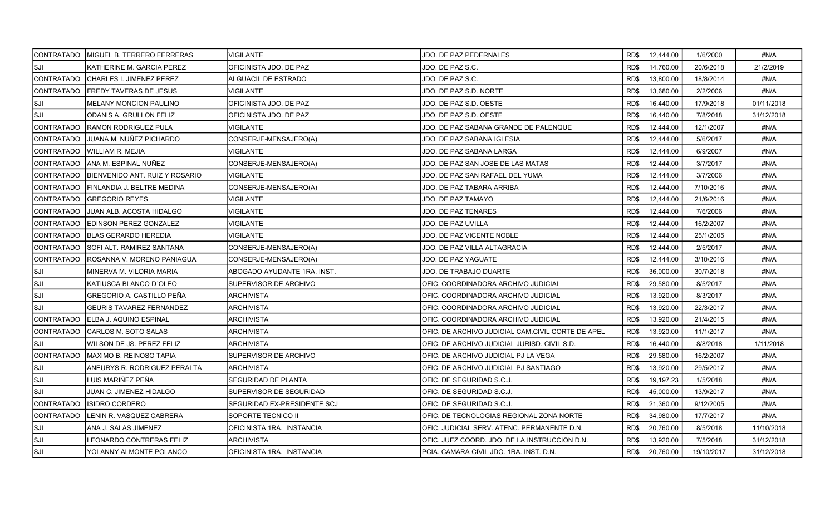|                   | CONTRATADO   MIGUEL B. TERRERO FERRERAS | <b>VIGILANTE</b>            | JDO. DE PAZ PEDERNALES                            | RD\$ 12,444.00    | 1/6/2000   | #N/A       |
|-------------------|-----------------------------------------|-----------------------------|---------------------------------------------------|-------------------|------------|------------|
| lsji              | KATHERINE M. GARCIA PEREZ               | OFICINISTA JDO. DE PAZ      | JDO. DE PAZ S.C.                                  | RD\$<br>14,760.00 | 20/6/2018  | 21/2/2019  |
| CONTRATADO        | CHARLES I. JIMENEZ PEREZ                | ALGUACIL DE ESTRADO         | JDO. DE PAZ S.C.                                  | RD\$<br>13,800.00 | 18/8/2014  | #N/A       |
| ICONTRATADO       | <b>FREDY TAVERAS DE JESUS</b>           | <b>VIGILANTE</b>            | JDO. DE PAZ S.D. NORTE                            | RD\$<br>13,680.00 | 2/2/2006   | #N/A       |
| lsji              | <b>MELANY MONCION PAULINO</b>           | OFICINISTA JDO. DE PAZ      | JDO. DE PAZ S.D. OESTE                            | 16,440.00<br>RD\$ | 17/9/2018  | 01/11/2018 |
| ISJI              | <b>ODANIS A. GRULLON FELIZ</b>          | OFICINISTA JDO. DE PAZ      | JDO. DE PAZ S.D. OESTE                            | 16,440.00<br>RD\$ | 7/8/2018   | 31/12/2018 |
| CONTRATADO        | RAMON RODRIGUEZ PULA                    | <b>VIGILANTE</b>            | JDO. DE PAZ SABANA GRANDE DE PALENQUE             | RD\$<br>12,444.00 | 12/1/2007  | #N/A       |
| <b>CONTRATADO</b> | JUANA M. NUÑEZ PICHARDO                 | CONSERJE-MENSAJERO(A)       | JDO. DE PAZ SABANA IGLESIA                        | RD\$<br>12,444.00 | 5/6/2017   | #N/A       |
| CONTRATADO        | IWILLIAM R. MEJIA                       | <b>VIGILANTE</b>            | JDO. DE PAZ SABANA LARGA                          | RD\$<br>12,444.00 | 6/9/2007   | #N/A       |
| CONTRATADO        | IANA M. ESPINAL NUÑEZ                   | CONSERJE-MENSAJERO(A)       | JDO. DE PAZ SAN JOSE DE LAS MATAS                 | 12,444.00<br>RD\$ | 3/7/2017   | #N/A       |
| CONTRATADO        | BIENVENIDO ANT. RUIZ Y ROSARIO          | VIGILANTE                   | JDO. DE PAZ SAN RAFAEL DEL YUMA                   | RD\$<br>12,444.00 | 3/7/2006   | #N/A       |
| CONTRATADO        | FINLANDIA J. BELTRE MEDINA              | CONSERJE-MENSAJERO(A)       | JDO. DE PAZ TABARA ARRIBA                         | RD\$<br>12,444.00 | 7/10/2016  | #N/A       |
| ICONTRATADO       | <b>GREGORIO REYES</b>                   | <b>VIGILANTE</b>            | JDO. DE PAZ TAMAYO                                | 12,444.00<br>RD\$ | 21/6/2016  | #N/A       |
| CONTRATADO        | IJUAN ALB. ACOSTA HIDALGO               | <b>VIGILANTE</b>            | <b>JDO. DE PAZ TENARES</b>                        | 12,444.00<br>RD\$ | 7/6/2006   | #N/A       |
| CONTRATADO        | <b>IEDINSON PEREZ GONZALEZ</b>          | VIGILANTE                   | JDO. DE PAZ UVILLA                                | RD\$<br>12,444.00 | 16/2/2007  | #N/A       |
| CONTRATADO        | <b>IBLAS GERARDO HEREDIA</b>            | <b>VIGILANTE</b>            | JDO. DE PAZ VICENTE NOBLE                         | RD\$<br>12,444.00 | 25/1/2005  | #N/A       |
| CONTRATADO        | SOFI ALT. RAMIREZ SANTANA               | CONSERJE-MENSAJERO(A)       | JDO. DE PAZ VILLA ALTAGRACIA                      | RD\$<br>12,444.00 | 2/5/2017   | #N/A       |
| CONTRATADO        | ROSANNA V. MORENO PANIAGUA              | CONSERJE-MENSAJERO(A)       | <b>JDO. DE PAZ YAGUATE</b>                        | RD\$<br>12,444.00 | 3/10/2016  | #N/A       |
| SJI]              | MINERVA M. VILORIA MARIA                | ABOGADO AYUDANTE 1RA. INST. | JDO. DE TRABAJO DUARTE                            | RD\$<br>36,000.00 | 30/7/2018  | #N/A       |
| ISJI              | KATIUSCA BLANCO D'OLEO                  | SUPERVISOR DE ARCHIVO       | OFIC. COORDINADORA ARCHIVO JUDICIAL               | 29,580.00<br>RD\$ | 8/5/2017   | #N/A       |
| lsji              | GREGORIO A. CASTILLO PEÑA               | ARCHIVISTA                  | OFIC. COORDINADORA ARCHIVO JUDICIAL               | RD\$<br>13,920.00 | 8/3/2017   | #N/A       |
| SJI               | <b>GEURIS TAVAREZ FERNANDEZ</b>         | ARCHIVISTA                  | OFIC. COORDINADORA ARCHIVO JUDICIAL               | RD\$<br>13,920.00 | 22/3/2017  | #N/A       |
| CONTRATADO        | ELBA J. AQUINO ESPINAL                  | <b>ARCHIVISTA</b>           | IOFIC. COORDINADORA ARCHIVO JUDICIAL              | RD\$<br>13,920.00 | 21/4/2015  | #N/A       |
| CONTRATADO        | CARLOS M. SOTO SALAS                    | ARCHIVISTA                  | OFIC. DE ARCHIVO JUDICIAL CAM.CIVIL CORTE DE APEL | RD\$<br>13,920.00 | 11/1/2017  | #N/A       |
| ISJI              | WILSON DE JS. PEREZ FELIZ               | ARCHIVISTA                  | OFIC. DE ARCHIVO JUDICIAL JURISD. CIVIL S.D.      | RD\$<br>16,440.00 | 8/8/2018   | 1/11/2018  |
| CONTRATADO        | <b>MAXIMO B. REINOSO TAPIA</b>          | SUPERVISOR DE ARCHIVO       | OFIC. DE ARCHIVO JUDICIAL PJ LA VEGA              | RD\$<br>29,580.00 | 16/2/2007  | #N/A       |
| lsji              | ANEURYS R. RODRIGUEZ PERALTA            | <b>ARCHIVISTA</b>           | OFIC. DE ARCHIVO JUDICIAL PJ SANTIAGO             | RD\$<br>13,920.00 | 29/5/2017  | #N/A       |
| lsji              | LUIS MARIÑEZ PEÑA                       | <b>SEGURIDAD DE PLANTA</b>  | OFIC. DE SEGURIDAD S.C.J.                         | RD\$<br>19,197.23 | 1/5/2018   | #N/A       |
| lsji              | JUAN C. JIMENEZ HIDALGO                 | SUPERVISOR DE SEGURIDAD     | OFIC. DE SEGURIDAD S.C.J.                         | RD\$<br>45,000.00 | 13/9/2017  | #N/A       |
| CONTRATADO        | IISIDRO CORDERO                         | SEGURIDAD EX-PRESIDENTE SCJ | OFIC. DE SEGURIDAD S.C.J.                         | 21,360.00<br>RD\$ | 9/12/2005  | #N/A       |
| CONTRATADO        | LENIN R. VASQUEZ CABRERA                | SOPORTE TECNICO II          | OFIC. DE TECNOLOGIAS REGIONAL ZONA NORTE          | 34,980.00<br>RD\$ | 17/7/2017  | #N/A       |
| SJI               | ANA J. SALAS JIMENEZ                    | OFICINISTA 1RA. INSTANCIA   | OFIC. JUDICIAL SERV. ATENC. PERMANENTE D.N.       | RD\$<br>20,760.00 | 8/5/2018   | 11/10/2018 |
| SJI               | <b>LEONARDO CONTRERAS FELIZ</b>         | ARCHIVISTA                  | OFIC. JUEZ COORD. JDO. DE LA INSTRUCCION D.N.     | 13,920.00<br>RD\$ | 7/5/2018   | 31/12/2018 |
| SJI               | YOLANNY ALMONTE POLANCO                 | IOFICINISTA 1RA. INSTANCIA  | IPCIA. CAMARA CIVIL JDO. 1RA. INST. D.N.          | 20.760.00<br>RD\$ | 19/10/2017 | 31/12/2018 |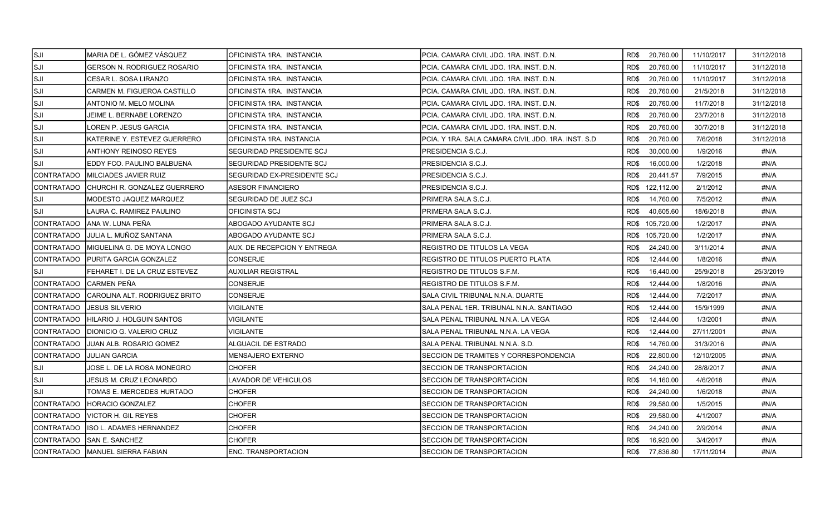| <b>SJI</b>  | MARIA DE L. GÓMEZ VÁSQUEZ          | OFICINISTA 1RA. INSTANCIA   | PCIA. CAMARA CIVIL JDO. 1RA. INST. D.N.             |      | RD\$ 20,760.00  | 11/10/2017 | 31/12/2018 |
|-------------|------------------------------------|-----------------------------|-----------------------------------------------------|------|-----------------|------------|------------|
| ISJI        | <b>GERSON N. RODRIGUEZ ROSARIO</b> | OFICINISTA 1RA. INSTANCIA   | PCIA. CAMARA CIVIL JDO. 1RA. INST. D.N.             | RD\$ | 20,760.00       | 11/10/2017 | 31/12/2018 |
| lsji        | CESAR L. SOSA LIRANZO              | OFICINISTA 1RA. INSTANCIA   | PCIA. CAMARA CIVIL JDO. 1RA. INST. D.N.             | RD\$ | 20,760.00       | 11/10/2017 | 31/12/2018 |
| lsji        | CARMEN M. FIGUEROA CASTILLO        | OFICINISTA 1RA. INSTANCIA   | PCIA. CAMARA CIVIL JDO. 1RA. INST. D.N.             | RD\$ | 20,760.00       | 21/5/2018  | 31/12/2018 |
| lsji        | ANTONIO M. MELO MOLINA             | OFICINISTA 1RA. INSTANCIA   | PCIA. CAMARA CIVIL JDO. 1RA. INST. D.N.             | RD\$ | 20,760.00       | 11/7/2018  | 31/12/2018 |
| ISJI        | JEIME L. BERNABE LORENZO           | OFICINISTA 1RA. INSTANCIA   | PCIA. CAMARA CIVIL JDO. 1RA. INST. D.N.             | RD\$ | 20,760.00       | 23/7/2018  | 31/12/2018 |
| ISJI        | LOREN P. JESUS GARCIA              | OFICINISTA 1RA. INSTANCIA   | PCIA. CAMARA CIVIL JDO. 1RA. INST. D.N.             | RD\$ | 20,760.00       | 30/7/2018  | 31/12/2018 |
| SJI         | KATERINE Y. ESTEVEZ GUERRERO       | IOFICINISTA 1RA. INSTANCIA  | PCIA. Y 1RA. SALA CAMARA CIVIL JDO. 1RA. INST. S.D. | RD\$ | 20,760.00       | 7/6/2018   | 31/12/2018 |
| SJI]        | <b>ANTHONY REINOSO REYES</b>       | SEGURIDAD PRESIDENTE SCJ    | PRESIDENCIA S.C.J.                                  | RD\$ | 30,000.00       | 1/9/2016   | #N/A       |
| SJI]        | EDDY FCO. PAULINO BALBUENA         | SEGURIDAD PRESIDENTE SCJ    | PRESIDENCIA S.C.J.                                  | RD\$ | 16.000.00       | 1/2/2018   | #N/A       |
| CONTRATADO  | MILCIADES JAVIER RUIZ              | SEGURIDAD EX-PRESIDENTE SCJ | PRESIDENCIA S.C.J.                                  | RD\$ | 20,441.57       | 7/9/2015   | #N/A       |
| CONTRATADO  | CHURCHI R. GONZALEZ GUERRERO       | ASESOR FINANCIERO           | PRESIDENCIA S.C.J.                                  |      | RD\$ 122,112.00 | 2/1/2012   | #N/A       |
| lsji        | MODESTO JAQUEZ MARQUEZ             | SEGURIDAD DE JUEZ SCJ       | PRIMERA SALA S.C.J.                                 | RD\$ | 14,760.00       | 7/5/2012   | #N/A       |
| SJI]        | LAURA C. RAMIREZ PAULINO           | OFICINISTA SCJ              | PRIMERA SALA S.C.J.                                 | RD\$ | 40,605.60       | 18/6/2018  | #N/A       |
| ICONTRATADO | ANA W. LUNA PEÑA                   | ABOGADO AYUDANTE SCJ        | PRIMERA SALA S.C.J.                                 |      | RD\$ 105,720.00 | 1/2/2017   | #N/A       |
| CONTRATADO  | JULIA L. MUÑOZ SANTANA             | ABOGADO AYUDANTE SCJ        | PRIMERA SALA S.C.J.                                 |      | RD\$ 105,720.00 | 1/2/2017   | #N/A       |
| CONTRATADO  | IMIGUELINA G. DE MOYA LONGO        | AUX. DE RECEPCION Y ENTREGA | REGISTRO DE TITULOS LA VEGA                         | RD\$ | 24,240.00       | 3/11/2014  | #N/A       |
| CONTRATADO  | PURITA GARCIA GONZALEZ             | <b>CONSERJE</b>             | REGISTRO DE TITULOS PUERTO PLATA                    | RD\$ | 12,444.00       | 1/8/2016   | #N/A       |
| ISJI.       | FEHARET I. DE LA CRUZ ESTEVEZ      | <b>AUXILIAR REGISTRAL</b>   | REGISTRO DE TITULOS S.F.M.                          | RD\$ | 16,440.00       | 25/9/2018  | 25/3/2019  |
| CONTRATADO  | İCARMEN PEÑA                       | CONSERJE                    | REGISTRO DE TITULOS S.F.M.                          | RD\$ | 12,444.00       | 1/8/2016   | #N/A       |
| CONTRATADO  | CAROLINA ALT. RODRIGUEZ BRITO      | CONSERJE                    | SALA CIVIL TRIBUNAL N.N.A. DUARTE                   | RD\$ | 12,444.00       | 7/2/2017   | #N/A       |
| CONTRATADO  | <b>JESUS SILVERIO</b>              | VIGILANTE                   | SALA PENAL 1ER. TRIBUNAL N.N.A. SANTIAGO            | RD\$ | 12,444.00       | 15/9/1999  | #N/A       |
| CONTRATADO  | HILARIO J. HOLGUIN SANTOS          | VIGILANTE                   | SALA PENAL TRIBUNAL N.N.A. LA VEGA                  | RD\$ | 12,444.00       | 1/3/2001   | #N/A       |
| CONTRATADO_ | IDIONICIO G. VALERIO CRUZ          | <b>VIGILANTE</b>            | SALA PENAL TRIBUNAL N.N.A. LA VEGA                  | RD\$ | 12,444.00       | 27/11/2001 | #N/A       |
| CONTRATADO  | JUAN ALB. ROSARIO GOMEZ            | ALGUACIL DE ESTRADO         | SALA PENAL TRIBUNAL N.N.A. S.D.                     | RD\$ | 14,760.00       | 31/3/2016  | #N/A       |
| CONTRATADO  | IJULIAN GARCIA                     | MENSAJERO EXTERNO           | SECCION DE TRAMITES Y CORRESPONDENCIA               | RD\$ | 22,800.00       | 12/10/2005 | #N/A       |
| SJI         | JOSE L. DE LA ROSA MONEGRO         | <b>CHOFER</b>               | SECCION DE TRANSPORTACION                           | RD\$ | 24,240.00       | 28/8/2017  | #N/A       |
| ISJI        | JESUS M. CRUZ LEONARDO             | <b>LAVADOR DE VEHICULOS</b> | <b>SECCION DE TRANSPORTACION</b>                    | RD\$ | 14,160.00       | 4/6/2018   | #N/A       |
| <b>SJI</b>  | TOMAS E. MERCEDES HURTADO          | <b>CHOFER</b>               | SECCION DE TRANSPORTACION                           | RD\$ | 24,240.00       | 1/6/2018   | #N/A       |
| CONTRATADO  | <b>HORACIO GONZALEZ</b>            | <b>CHOFER</b>               | SECCION DE TRANSPORTACION                           | RD\$ | 29,580.00       | 1/5/2015   | #N/A       |
| CONTRATADO  | VICTOR H. GIL REYES                | <b>CHOFER</b>               | SECCION DE TRANSPORTACION                           | RD\$ | 29,580.00       | 4/1/2007   | #N/A       |
| CONTRATADO  | ISO L. ADAMES HERNANDEZ            | CHOFER                      | SECCION DE TRANSPORTACION                           | RD\$ | 24,240.00       | 2/9/2014   | #N/A       |
| CONTRATADO  | ISAN E. SANCHEZ                    | <b>CHOFER</b>               | SECCION DE TRANSPORTACION                           | RD\$ | 16,920.00       | 3/4/2017   | #N/A       |
|             | CONTRATADO MANUEL SIERRA FABIAN    | <b>ENC. TRANSPORTACION</b>  | SECCION DE TRANSPORTACION                           |      | RD\$ 77,836.80  | 17/11/2014 | #N/A       |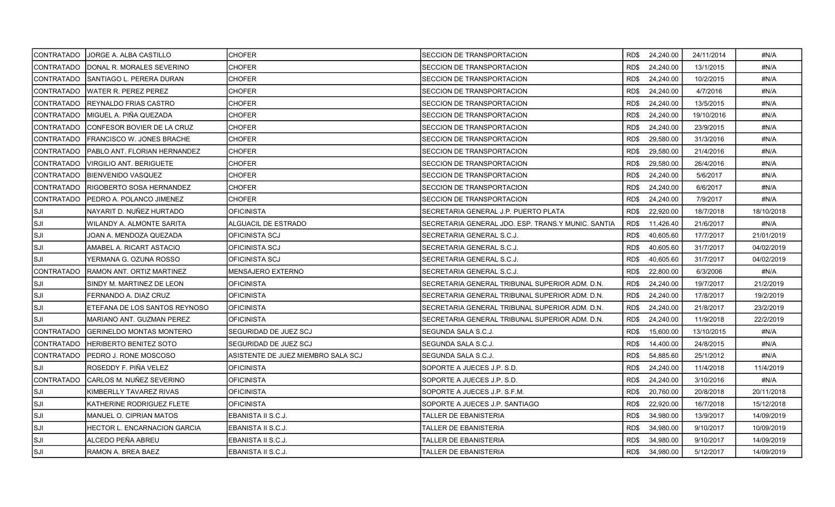|                   | CONTRATADO   JORGE A. ALBA CASTILLO | <b>CHOFER</b>                      | SECCION DE TRANSPORTACION                          |      | RD\$ 24,240.00 | 24/11/2014 | #N/A       |
|-------------------|-------------------------------------|------------------------------------|----------------------------------------------------|------|----------------|------------|------------|
| ICONTRATADO       | IDONAL R. MORALES SEVERINO          | <b>CHOFER</b>                      | SECCION DE TRANSPORTACION                          | RD\$ | 24,240.00      | 13/1/2015  | #N/A       |
| CONTRATADO        | SANTIAGO L. PERERA DURAN            | <b>CHOFER</b>                      | SECCION DE TRANSPORTACION                          | RD\$ | 24,240.00      | 10/2/2015  | #N/A       |
| CONTRATADO        | IWATER R. PEREZ PEREZ               | <b>CHOFER</b>                      | SECCION DE TRANSPORTACION                          | RD\$ | 24,240.00      | 4/7/2016   | #N/A       |
| CONTRATADO        | IREYNALDO FRIAS CASTRO              | <b>CHOFER</b>                      | SECCION DE TRANSPORTACION                          | RD\$ | 24,240.00      | 13/5/2015  | #N/A       |
| <b>CONTRATADO</b> | IMIGUEL A. PIÑA QUEZADA             | CHOFER                             | SECCION DE TRANSPORTACION                          | RD\$ | 24,240.00      | 19/10/2016 | #N/A       |
| CONTRATADO        | CONFESOR BOVIER DE LA CRUZ          | <b>CHOFER</b>                      | SECCION DE TRANSPORTACION                          | RD\$ | 24,240.00      | 23/9/2015  | #N/A       |
| ICONTRATADO       | FRANCISCO W. JONES BRACHE           | <b>CHOFER</b>                      | SECCION DE TRANSPORTACION                          | RD\$ | 29,580.00      | 31/3/2016  | #N/A       |
| CONTRATADO        | PABLO ANT. FLORIAN HERNANDEZ        | <b>CHOFER</b>                      | SECCION DE TRANSPORTACION                          | RD\$ | 29,580.00      | 21/4/2016  | #N/A       |
| CONTRATADO        | VIRGILIO ANT. BERIGUETE             | CHOFER                             | SECCION DE TRANSPORTACION                          | RD\$ | 29,580.00      | 26/4/2016  | #N/A       |
| CONTRATADO        | IBIENVENIDO VASQUEZ                 | <b>CHOFER</b>                      | SECCION DE TRANSPORTACION                          | RD\$ | 24,240.00      | 5/6/2017   | #N/A       |
| CONTRATADO        | RIGOBERTO SOSA HERNANDEZ            | <b>CHOFER</b>                      | SECCION DE TRANSPORTACION                          | RD\$ | 24,240.00      | 6/6/2017   | #N/A       |
| CONTRATADO        | PEDRO A. POLANCO JIMENEZ            | <b>CHOFER</b>                      | SECCION DE TRANSPORTACION                          | RD\$ | 24,240.00      | 7/9/2017   | #N/A       |
| SJI]              | NAYARIT D. NUÑEZ HURTADO            | <b>OFICINISTA</b>                  | SECRETARIA GENERAL J.P. PUERTO PLATA               | RD\$ | 22,920.00      | 18/7/2018  | 18/10/2018 |
| lsji              | WILANDY A. ALMONTE SARITA           | ALGUACIL DE ESTRADO                | SECRETARIA GENERAL JDO. ESP. TRANS Y MUNIC. SANTIA | RD\$ | 11.426.40      | 21/6/2017  | #N/A       |
| lsji              | JOAN A. MENDOZA QUEZADA             | OFICINISTA SCJ                     | SECRETARIA GENERAL S.C.J.                          | RD\$ | 40,605.60      | 17/7/2017  | 21/01/2019 |
| ISJI              | AMABEL A. RICART ASTACIO            | OFICINISTA SCJ                     | SECRETARIA GENERAL S.C.J.                          | RD\$ | 40,605.60      | 31/7/2017  | 04/02/2019 |
| lsji              | YERMANA G. OZUNA ROSSO              | OFICINISTA SCJ                     | SECRETARIA GENERAL S.C.J.                          | RD\$ | 40,605.60      | 31/7/2017  | 04/02/2019 |
| CONTRATADO        | IRAMON ANT. ORTIZ MARTINEZ          | MENSAJERO EXTERNO                  | SECRETARIA GENERAL S.C.J.                          | RD\$ | 22,800.00      | 6/3/2006   | #N/A       |
| lsji              | SINDY M. MARTINEZ DE LEON           | <b>OFICINISTA</b>                  | SECRETARIA GENERAL TRIBUNAL SUPERIOR ADM. D.N.     | RD\$ | 24,240.00      | 19/7/2017  | 21/2/2019  |
| SJI               | FERNANDO A. DIAZ CRUZ               | <b>OFICINISTA</b>                  | SECRETARIA GENERAL TRIBUNAL SUPERIOR ADM. D.N.     | RD\$ | 24,240.00      | 17/8/2017  | 19/2/2019  |
| ISJI              | ETEFANA DE LOS SANTOS REYNOSO       | OFICINISTA                         | SECRETARIA GENERAL TRIBUNAL SUPERIOR ADM. D.N.     | RD\$ | 24,240.00      | 21/8/2017  | 23/2/2019  |
| SJI               | MARIANO ANT. GUZMAN PEREZ           | <b>OFICINISTA</b>                  | SECRETARIA GENERAL TRIBUNAL SUPERIOR ADM. D.N.     | RD\$ | 24,240.00      | 11/9/2018  | 22/2/2019  |
| CONTRATADO        | <b> GERINELDO MONTAS MONTERO</b>    | SEGURIDAD DE JUEZ SCJ              | SEGUNDA SALA S.C.J.                                | RD\$ | 15,600.00      | 13/10/2015 | #N/A       |
| CONTRATADO        | <b>HERIBERTO BENITEZ SOTO</b>       | SEGURIDAD DE JUEZ SCJ              | SEGUNDA SALA S.C.J.                                | RD\$ | 14,400.00      | 24/8/2015  | #N/A       |
| ICONTRATADO       | PEDRO J. RONE MOSCOSO               | ASISTENTE DE JUEZ MIEMBRO SALA SCJ | SEGUNDA SALA S.C.J.                                | RD\$ | 54,885.60      | 25/1/2012  | #N/A       |
| ISJI              | ROSEDDY F. PIÑA VELEZ               | OFICINISTA                         | SOPORTE A JUECES J.P. S.D.                         | RD\$ | 24,240.00      | 11/4/2018  | 11/4/2019  |
| CONTRATADO        | ICARLOS M. NUÑEZ SEVERINO           | <b>OFICINISTA</b>                  | SOPORTE A JUECES J.P. S.D.                         | RD\$ | 24,240.00      | 3/10/2016  | #N/A       |
| SJI]              | KIMBERLLY TAVAREZ RIVAS             | <b>OFICINISTA</b>                  | SOPORTE A JUECES J.P. S.F.M.                       | RD\$ | 20,760.00      | 20/8/2018  | 20/11/2018 |
| SJI               | KATHERINE RODRIGUEZ FLETE           | <b>OFICINISTA</b>                  | SOPORTE A JUECES J.P. SANTIAGO                     | RD\$ | 22,920.00      | 16/7/2018  | 15/12/2018 |
| lsji              | MANUEL O. CIPRIAN MATOS             | EBANISTA II S.C.J.                 | TALLER DE EBANISTERIA                              | RD\$ | 34,980.00      | 13/9/2017  | 14/09/2019 |
| SJI               | HECTOR L. ENCARNACION GARCIA        | EBANISTA II S.C.J.                 | TALLER DE EBANISTERIA                              | RD\$ | 34,980.00      | 9/10/2017  | 10/09/2019 |
| ISJI              | ALCEDO PEÑA ABREU                   | EBANISTA II S.C.J.                 | TALLER DE EBANISTERIA                              | RD\$ | 34,980.00      | 9/10/2017  | 14/09/2019 |
| SJI]              | RAMON A. BREA BAEZ                  | EBANISTA II S.C.J.                 | TALLER DE EBANISTERIA                              |      | RD\$ 34,980.00 | 5/12/2017  | 14/09/2019 |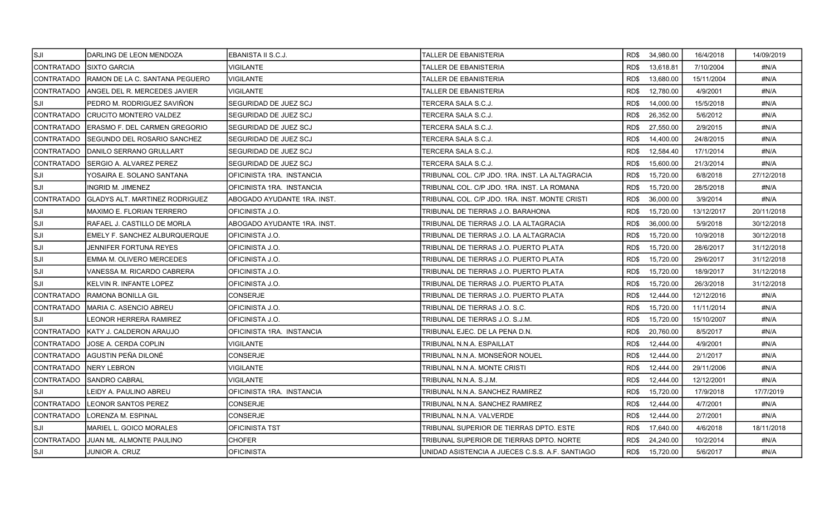| SJI]        | DARLING DE LEON MENDOZA            | EBANISTA II S.C.J.          | TALLER DE EBANISTERIA                           | RD\$ 34,980.00    | 16/4/2018  | 14/09/2019 |
|-------------|------------------------------------|-----------------------------|-------------------------------------------------|-------------------|------------|------------|
| CONTRATADO  | ISIXTO GARCIA                      | VIGILANTE                   | TALLER DE EBANISTERIA                           | RD\$<br>13,618.81 | 7/10/2004  | #N/A       |
| CONTRATADO  | RAMON DE LA C. SANTANA PEGUERO     | VIGILANTE                   | TALLER DE EBANISTERIA                           | 13,680.00<br>RD\$ | 15/11/2004 | #N/A       |
| CONTRATADO  | ANGEL DEL R. MERCEDES JAVIER       | VIGILANTE                   | TALLER DE EBANISTERIA                           | RD\$<br>12,780.00 | 4/9/2001   | #N/A       |
| ISJI        | PEDRO M. RODRIGUEZ SAVIÑON         | SEGURIDAD DE JUEZ SCJ       | TERCERA SALA S.C.J.                             | RD\$<br>14,000.00 | 15/5/2018  | #N/A       |
| CONTRATADO  | CRUCITO MONTERO VALDEZ             | SEGURIDAD DE JUEZ SCJ       | TERCERA SALA S.C.J.                             | RD\$<br>26,352.00 | 5/6/2012   | #N/A       |
| CONTRATADO  | ERASMO F. DEL CARMEN GREGORIO      | SEGURIDAD DE JUEZ SCJ       | TERCERA SALA S.C.J.                             | RD\$<br>27,550.00 | 2/9/2015   | #N/A       |
| ICONTRATADO | <b>SEGUNDO DEL ROSARIO SANCHEZ</b> | SEGURIDAD DE JUEZ SCJ       | TERCERA SALA S.C.J.                             | RD\$<br>14,400.00 | 24/8/2015  | #N/A       |
| CONTRATADO  | DANILO SERRANO GRULLART            | SEGURIDAD DE JUEZ SCJ       | TERCERA SALA S.C.J.                             | RD\$<br>12,584.40 | 17/1/2014  | #N/A       |
| CONTRATADO_ | ISERGIO A. ALVAREZ PEREZ           | SEGURIDAD DE JUEZ SCJ       | TERCERA SALA S.C.J.                             | RD\$<br>15,600.00 | 21/3/2014  | #N/A       |
| ISJI        | YOSAIRA E. SOLANO SANTANA          | OFICINISTA 1RA. INSTANCIA   | TRIBUNAL COL. C/P JDO. 1RA. INST. LA ALTAGRACIA | RD\$<br>15,720.00 | 6/8/2018   | 27/12/2018 |
| ISJI        | INGRID M. JIMENEZ                  | OFICINISTA 1RA. INSTANCIA   | TRIBUNAL COL. C/P JDO. 1RA. INST. LA ROMANA     | 15,720.00<br>RD\$ | 28/5/2018  | #N/A       |
| CONTRATADO  | GLADYS ALT. MARTINEZ RODRIGUEZ     | ABOGADO AYUDANTE 1RA. INST. | TRIBUNAL COL. C/P JDO. 1RA. INST. MONTE CRISTI  | RD\$<br>36,000.00 | 3/9/2014   | #N/A       |
| lsji        | <b>MAXIMO E. FLORIAN TERRERO</b>   | OFICINISTA J.O.             | TRIBUNAL DE TIERRAS J.O. BARAHONA               | RD\$<br>15,720.00 | 13/12/2017 | 20/11/2018 |
| SJI         | RAFAEL J. CASTILLO DE MORLA        | ABOGADO AYUDANTE 1RA. INST. | TRIBUNAL DE TIERRAS J.O. LA ALTAGRACIA          | RD\$<br>36,000.00 | 5/9/2018   | 30/12/2018 |
| ISJI        | EMELY F. SANCHEZ ALBURQUERQUE      | OFICINISTA J.O.             | TRIBUNAL DE TIERRAS J.O. LA ALTAGRACIA          | 15,720.00<br>RD\$ | 10/9/2018  | 30/12/2018 |
| SJI         | JENNIFER FORTUNA REYES             | OFICINISTA J.O.             | TRIBUNAL DE TIERRAS J.O. PUERTO PLATA           | RD\$<br>15,720.00 | 28/6/2017  | 31/12/2018 |
| lsji        | EMMA M. OLIVERO MERCEDES           | IOFICINISTA J.O.            | TRIBUNAL DE TIERRAS J.O. PUERTO PLATA           | RD\$<br>15,720.00 | 29/6/2017  | 31/12/2018 |
| SJI]        | VANESSA M. RICARDO CABRERA         | OFICINISTA J.O.             | TRIBUNAL DE TIERRAS J.O. PUERTO PLATA           | RD\$<br>15,720.00 | 18/9/2017  | 31/12/2018 |
| lsji        | KELVIN R. INFANTE LOPEZ            | OFICINISTA J.O.             | TRIBUNAL DE TIERRAS J.O. PUERTO PLATA           | RD\$<br>15,720.00 | 26/3/2018  | 31/12/2018 |
| CONTRATADO  | RAMONA BONILLA GIL                 | CONSERJE                    | TRIBUNAL DE TIERRAS J.O. PUERTO PLATA           | RD\$<br>12,444.00 | 12/12/2016 | #N/A       |
| ICONTRATADO | IMARIA C. ASENCIO ABREU            | OFICINISTA J.O.             | TRIBUNAL DE TIERRAS J.O. S.C.                   | RD\$<br>15,720.00 | 11/11/2014 | #N/A       |
| lsji        | EONOR HERRERA RAMIREZ              | OFICINISTA J.O.             | TRIBUNAL DE TIERRAS J.O. S.J.M.                 | RD\$<br>15,720.00 | 15/10/2007 | #N/A       |
| CONTRATADO  | IKATY J. CALDERON ARAUJO           | IOFICINISTA 1RA. INSTANCIA  | TRIBUNAL EJEC. DE LA PENA D.N.                  | RD\$<br>20,760.00 | 8/5/2017   | #N/A       |
| ICONTRATADO | <b>JOSE A. CERDA COPLIN</b>        | <b>VIGILANTE</b>            | TRIBUNAL N.N.A. ESPAILLAT                       | 12,444.00<br>RD\$ | 4/9/2001   | #N/A       |
| CONTRATADO  | AGUSTIN PEÑA DILONÉ                | CONSERJE                    | TRIBUNAL N.N.A. MONSEÑOR NOUEL                  | RD\$<br>12,444.00 | 2/1/2017   | #N/A       |
| CONTRATADO  | NERY LEBRON                        | VIGILANTE                   | TRIBUNAL N.N.A. MONTE CRISTI                    | RD\$<br>12,444.00 | 29/11/2006 | #N/A       |
| CONTRATADO  | SANDRO CABRAL                      | VIGILANTE                   | TRIBUNAL N.N.A. S.J.M.                          | RD\$<br>12,444.00 | 12/12/2001 | #N/A       |
| ISJI.       | LEIDY A. PAULINO ABREU             | OFICINISTA 1RA. INSTANCIA   | TRIBUNAL N.N.A. SANCHEZ RAMIREZ                 | RD\$<br>15,720.00 | 17/9/2018  | 17/7/2019  |
| CONTRATADO  | LEONOR SANTOS PEREZ                | CONSERJE                    | TRIBUNAL N.N.A. SANCHEZ RAMIREZ                 | 12,444.00<br>RD\$ | 4/7/2001   | #N/A       |
| CONTRATADO  | LORENZA M. ESPINAL                 | CONSERJE                    | TRIBUNAL N.N.A. VALVERDE                        | RD\$<br>12,444.00 | 2/7/2001   | #N/A       |
| ISJI.       | MARIEL L. GOICO MORALES            | <b>OFICINISTA TST</b>       | TRIBUNAL SUPERIOR DE TIERRAS DPTO. ESTE         | RD\$<br>17,640.00 | 4/6/2018   | 18/11/2018 |
| CONTRATADO  | JUAN ML. ALMONTE PAULINO           | <b>CHOFER</b>               | TRIBUNAL SUPERIOR DE TIERRAS DPTO. NORTE        | RD\$<br>24,240.00 | 10/2/2014  | #N/A       |
| SJI]        | JUNIOR A. CRUZ                     | <b>OFICINISTA</b>           | UNIDAD ASISTENCIA A JUECES C.S.S. A.F. SANTIAGO | RD\$ 15,720.00    | 5/6/2017   | #N/A       |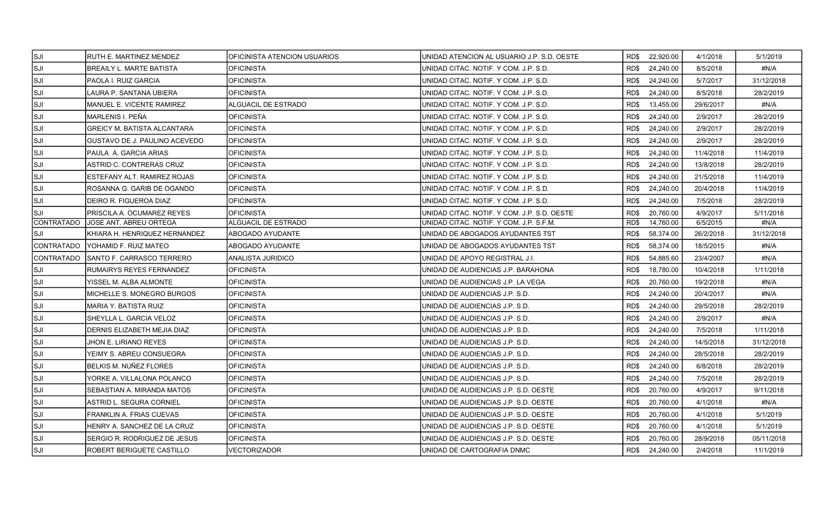| SJI]               | RUTH E. MARTINEZ MENDEZ            | IOFICINISTA ATENCION USUARIOS | UNIDAD ATENCION AL USUARIO J.P. S.D. OESTE  | RD\$ 22,920.00    | 4/1/2018  | 5/1/2019   |
|--------------------|------------------------------------|-------------------------------|---------------------------------------------|-------------------|-----------|------------|
| SJI                | <b>BREAILY L. MARTE BATISTA</b>    | <b>OFICINISTA</b>             | UNIDAD CITAC, NOTIF, Y COM, J.P. S.D.       | RD\$<br>24,240.00 | 8/5/2018  | #N/A       |
| SJI                | PAOLA I. RUIZ GARCIA               | <b>OFICINISTA</b>             | UNIDAD CITAC. NOTIF. Y COM. J.P. S.D.       | RD\$<br>24,240.00 | 5/7/2017  | 31/12/2018 |
| ISJI               | LAURA P. SANTANA UBIERA            | <b>OFICINISTA</b>             | UNIDAD CITAC. NOTIF. Y COM. J.P. S.D.       | 24,240.00<br>RD\$ | 8/5/2018  | 28/2/2019  |
| SJI]               | <b>MANUEL E. VICENTE RAMIREZ</b>   | ALGUACIL DE ESTRADO           | UNIDAD CITAC, NOTIF, Y COM, J.P. S.D.       | RD\$<br>13,455.00 | 29/6/2017 | #N/A       |
| SJI                | MARLENIS I. PEÑA                   | <b>OFICINISTA</b>             | UNIDAD CITAC, NOTIF, Y COM, J.P. S.D.       | RD\$<br>24,240.00 | 2/9/2017  | 28/2/2019  |
| SJI                | <b>GREICY M. BATISTA ALCANTARA</b> | <b>OFICINISTA</b>             | IUNIDAD CITAC. NOTIF. Y COM. J.P. S.D.      | 24,240.00<br>RD\$ | 2/9/2017  | 28/2/2019  |
| ISJI               | GUSTAVO DE J. PAULINO ACEVEDO      | <b>OFICINISTA</b>             | UNIDAD CITAC. NOTIF. Y COM. J.P. S.D.       | RD\$<br>24,240.00 | 2/9/2017  | 28/2/2019  |
| <b>SJI</b>         | PAULA A. GARCIA ARIAS              | <b>OFICINISTA</b>             | UNIDAD CITAC, NOTIF, Y COM, J.P. S.D.       | 24,240.00<br>RD\$ | 11/4/2018 | 11/4/2019  |
| SJI                | ASTRID C. CONTRERAS CRUZ           | <b>OFICINISTA</b>             | UNIDAD CITAC, NOTIF, Y COM, J.P. S.D.       | RD\$<br>24,240.00 | 13/8/2018 | 28/2/2019  |
| SJI                | ESTEFANY ALT. RAMIREZ ROJAS        | <b>OFICINISTA</b>             | UNIDAD CITAC. NOTIF. Y COM. J.P. S.D.       | RD\$<br>24,240.00 | 21/5/2018 | 11/4/2019  |
| <b>SJI</b>         | ROSANNA G. GARIB DE OGANDO         | <b>OFICINISTA</b>             | UNIDAD CITAC, NOTIF, Y COM, J.P. S.D.       | RD\$<br>24,240.00 | 20/4/2018 | 11/4/2019  |
| <b>SJI</b>         | IDEIRO R. FIGUEROA DIAZ            | <b>IOFICINISTA</b>            | IUNIDAD CITAC. NOTIF. Y COM. J.P. S.D.      | RD\$<br>24,240.00 | 7/5/2018  | 28/2/2019  |
| <b>SJI</b>         | PRISCILA A. OCUMAREZ REYES         | <b>OFICINISTA</b>             | UNIDAD CITAC. NOTIF. Y COM. J.P. S.D. OESTE | 20,760.00<br>RD\$ | 4/9/2017  | 5/11/2018  |
| ICONTRATADO        | <b>JOSE ANT. ABREU ORTEGA</b>      | ALGUACIL DE ESTRADO           | UNIDAD CITAC. NOTIF. Y COM. J.P. S.F.M.     | 14,760.00<br>RD\$ | 6/5/2015  | #N/A       |
| ISJI               | KHIARA H. HENRIQUEZ HERNANDEZ      | ABOGADO AYUDANTE              | UNIDAD DE ABOGADOS AYUDANTES TST            | 58,374.00<br>RD\$ | 26/2/2018 | 31/12/2018 |
| <b>ICONTRATADO</b> | YOHAMID F. RUIZ MATEO              | ABOGADO AYUDANTE              | UNIDAD DE ABOGADOS AYUDANTES TST            | 58,374.00<br>RD\$ | 18/5/2015 | #N/A       |
| CONTRATADO         | SANTO F. CARRASCO TERRERO          | ANALISTA JURIDICO             | UNIDAD DE APOYO REGISTRAL J.I.              | RD\$<br>54,885.60 | 23/4/2007 | #N/A       |
| <b>SJI</b>         | RUMAIRYS REYES FERNANDEZ           | <b>OFICINISTA</b>             | UNIDAD DE AUDIENCIAS J.P. BARAHONA          | RD\$<br>18,780.00 | 10/4/2018 | 1/11/2018  |
| ISJI               | YISSEL M. ALBA ALMONTE             | <b>OFICINISTA</b>             | UNIDAD DE AUDIENCIAS J.P. LA VEGA           | RD\$<br>20,760.00 | 19/2/2018 | #N/A       |
| SJI                | MICHELLE S. MONEGRO BURGOS         | <b>OFICINISTA</b>             | UNIDAD DE AUDIENCIAS J.P. S.D.              | RD\$<br>24,240.00 | 20/4/2017 | #N/A       |
| SJI                | MARIA Y. BATISTA RUIZ              | <b>OFICINISTA</b>             | UNIDAD DE AUDIENCIAS J.P. S.D.              | RD\$<br>24,240.00 | 29/5/2018 | 28/2/2019  |
| ISJI               | SHEYLLA L. GARCIA VELOZ            | <b>OFICINISTA</b>             | UNIDAD DE AUDIENCIAS J.P. S.D.              | RD\$<br>24,240.00 | 2/9/2017  | #N/A       |
| SJI                | DERNIS ELIZABETH MEJIA DIAZ        | <b>OFICINISTA</b>             | UNIDAD DE AUDIENCIAS J.P. S.D.              | RD\$<br>24,240.00 | 7/5/2018  | 1/11/2018  |
| SJI                | JHON E. LIRIANO REYES              | <b>OFICINISTA</b>             | UNIDAD DE AUDIENCIAS J.P. S.D.              | RD\$<br>24,240.00 | 14/5/2018 | 31/12/2018 |
| SJI                | YEIMY S. ABREU CONSUEGRA           | <b>OFICINISTA</b>             | UNIDAD DE AUDIENCIAS J.P. S.D.              | RD\$<br>24,240.00 | 28/5/2018 | 28/2/2019  |
| <b>SJI</b>         | BELKIS M. NUÑEZ FLORES             | <b>OFICINISTA</b>             | UNIDAD DE AUDIENCIAS J.P. S.D.              | 24,240.00<br>RD\$ | 6/8/2018  | 28/2/2019  |
| ISJI               | YORKE A. VILLALONA POLANCO         | <b>OFICINISTA</b>             | UNIDAD DE AUDIENCIAS J.P. S.D.              | RD\$<br>24,240.00 | 7/5/2018  | 28/2/2019  |
| SJI                | SEBASTIAN A. MIRANDA MATOS         | <b>IOFICINISTA</b>            | IUNIDAD DE AUDIENCIAS J.P. S.D. OESTE       | RD\$<br>20,760.00 | 4/9/2017  | 9/11/2018  |
| SJI                | ASTRID L. SEGURA CORNIEL           | <b>OFICINISTA</b>             | UNIDAD DE AUDIENCIAS J.P. S.D. OESTE        | 20,760.00<br>RD\$ | 4/1/2018  | #N/A       |
| SJI                | FRANKLIN A. FRIAS CUEVAS           | <b>OFICINISTA</b>             | UNIDAD DE AUDIENCIAS J.P. S.D. OESTE        | 20,760.00<br>RD\$ | 4/1/2018  | 5/1/2019   |
| ISJI               | HENRY A. SANCHEZ DE LA CRUZ        | <b>OFICINISTA</b>             | UNIDAD DE AUDIENCIAS J.P. S.D. OESTE        | 20,760.00<br>RD\$ | 4/1/2018  | 5/1/2019   |
| <b>SJI</b>         | SERGIO R. RODRIGUEZ DE JESUS       | <b>OFICINISTA</b>             | UNIDAD DE AUDIENCIAS J.P. S.D. OESTE        | 20,760.00<br>RD\$ | 28/9/2018 | 05/11/2018 |
| SJI                | ROBERT BERIGUETE CASTILLO          | VECTORIZADOR                  | UNIDAD DE CARTOGRAFIA DNMC                  | RD\$ 24,240.00    | 2/4/2018  | 11/1/2019  |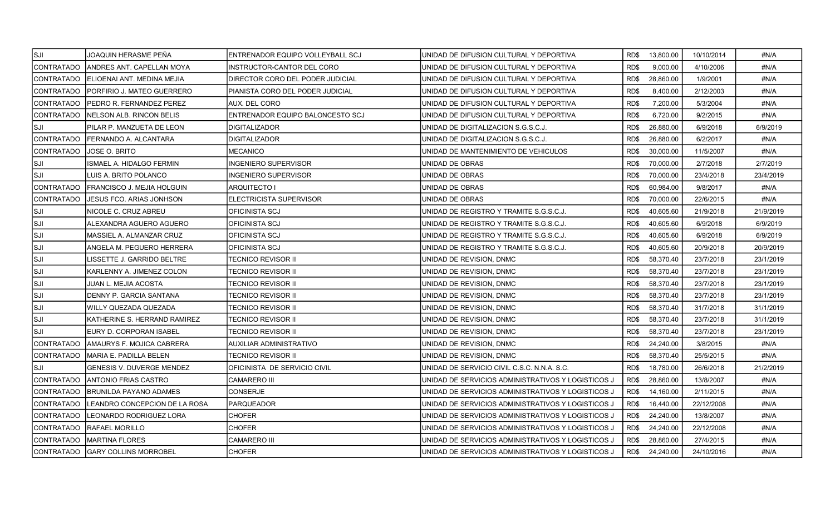| SJI]               | JOAQUIN HERASME PEÑA               | IENTRENADOR EQUIPO VOLLEYBALL SCJ | IUNIDAD DE DIFUSION CULTURAL Y DEPORTIVA            | RD\$ | 13,800.00 | 10/10/2014 | #N/A      |
|--------------------|------------------------------------|-----------------------------------|-----------------------------------------------------|------|-----------|------------|-----------|
| CONTRATADO         | ANDRES ANT. CAPELLAN MOYA          | INSTRUCTOR-CANTOR DEL CORO        | UNIDAD DE DIFUSION CULTURAL Y DEPORTIVA             | RD\$ | 9,000.00  | 4/10/2006  | #N/A      |
| ICONTRATADO        | <b>IELIOENAI ANT. MEDINA MEJIA</b> | DIRECTOR CORO DEL PODER JUDICIAL  | IUNIDAD DE DIFUSION CULTURAL Y DEPORTIVA            | RD\$ | 28.860.00 | 1/9/2001   | #N/A      |
| <b>CONTRATADO</b>  | <b>IPORFIRIO J. MATEO GUERRERO</b> | PIANISTA CORO DEL PODER JUDICIAL  | UNIDAD DE DIFUSION CULTURAL Y DEPORTIVA             | RD\$ | 8,400.00  | 2/12/2003  | #N/A      |
| CONTRATADO         | IPEDRO R. FERNANDEZ PEREZ          | AUX. DEL CORO                     | UNIDAD DE DIFUSION CULTURAL Y DEPORTIVA             | RD\$ | 7,200.00  | 5/3/2004   | #N/A      |
| <b>CONTRATADO</b>  | NELSON ALB. RINCON BELIS           | ENTRENADOR EQUIPO BALONCESTO SCJ  | UNIDAD DE DIFUSION CULTURAL Y DEPORTIVA             | RD\$ | 6,720.00  | 9/2/2015   | #N/A      |
| <b>SJI</b>         | PILAR P. MANZUETA DE LEON          | DIGITALIZADOR                     | UNIDAD DE DIGITALIZACION S.G.S.C.J.                 | RD\$ | 26,880.00 | 6/9/2018   | 6/9/2019  |
| CONTRATADO         | FERNANDO A. ALCANTARA              | IDIGITALIZADOR                    | UNIDAD DE DIGITALIZACION S.G.S.C.J.                 | RD\$ | 26,880.00 | 6/2/2017   | #N/A      |
| CONTRATADO         | JOSE O. BRITO                      | <b>MECANICO</b>                   | UNIDAD DE MANTENIMIENTO DE VEHICULOS                | RD\$ | 30.000.00 | 11/5/2007  | #N/A      |
| ISJI               | ISMAEL A. HIDALGO FERMIN           | INGENIERO SUPERVISOR              | UNIDAD DE OBRAS                                     | RD\$ | 70,000.00 | 2/7/2018   | 2/7/2019  |
| <b>SJI</b>         | LUIS A. BRITO POLANCO              | NGENIERO SUPERVISOR               | UNIDAD DE OBRAS                                     | RD\$ | 70,000.00 | 23/4/2018  | 23/4/2019 |
| <b>CONTRATADO</b>  | [FRANCISCO J. MEJIA HOLGUIN]       | ARQUITECTO I                      | UNIDAD DE OBRAS                                     | RD\$ | 60,984.00 | 9/8/2017   | #N/A      |
| <b>CONTRATADO</b>  | <b>JESUS FCO. ARIAS JONHSON</b>    | <b>ELECTRICISTA SUPERVISOR</b>    | UNIDAD DE OBRAS                                     | RD\$ | 70,000.00 | 22/6/2015  | #N/A      |
| ISJI               | NICOLE C. CRUZ ABREU               | OFICINISTA SCJ                    | UNIDAD DE REGISTRO Y TRAMITE S.G.S.C.J.             | RD\$ | 40,605.60 | 21/9/2018  | 21/9/2019 |
| <b>SJI</b>         | ALEXANDRA AGUERO AGUERO            | OFICINISTA SCJ                    | UNIDAD DE REGISTRO Y TRAMITE S.G.S.C.J.             | RD\$ | 40,605.60 | 6/9/2018   | 6/9/2019  |
| SJI                | MASSIEL A. ALMANZAR CRUZ           | OFICINISTA SCJ                    | UNIDAD DE REGISTRO Y TRAMITE S.G.S.C.J.             | RD\$ | 40,605.60 | 6/9/2018   | 6/9/2019  |
| SJI                | ANGELA M. PEGUERO HERRERA          | OFICINISTA SCJ                    | UNIDAD DE REGISTRO Y TRAMITE S.G.S.C.J.             | RD\$ | 40,605.60 | 20/9/2018  | 20/9/2019 |
| ISJI               | LISSETTE J. GARRIDO BELTRE         | TECNICO REVISOR II                | UNIDAD DE REVISION, DNMC                            | RD\$ | 58,370.40 | 23/7/2018  | 23/1/2019 |
| SJI                | KARLENNY A. JIMENEZ COLON          | TECNICO REVISOR II                | UNIDAD DE REVISION, DNMC                            | RD\$ | 58,370.40 | 23/7/2018  | 23/1/2019 |
| SJI                | JUAN L. MEJIA ACOSTA               | TECNICO REVISOR II                | UNIDAD DE REVISION, DNMC                            | RD\$ | 58,370.40 | 23/7/2018  | 23/1/2019 |
| SJI]               | DENNY P. GARCIA SANTANA            | TECNICO REVISOR II                | UNIDAD DE REVISION, DNMC                            | RD\$ | 58,370.40 | 23/7/2018  | 23/1/2019 |
| ISJI               | WILLY QUEZADA QUEZADA              | TECNICO REVISOR II                | UNIDAD DE REVISION, DNMC                            | RD\$ | 58,370.40 | 31/7/2018  | 31/1/2019 |
| SJI                | KATHERINE S. HERRAND RAMIREZ       | TECNICO REVISOR II                | UNIDAD DE REVISION, DNMC                            | RD\$ | 58,370.40 | 23/7/2018  | 31/1/2019 |
| ISJI               | EURY D. CORPORAN ISABEL            | TECNICO REVISOR II                | UNIDAD DE REVISION, DNMC                            | RD\$ | 58,370.40 | 23/7/2018  | 23/1/2019 |
| <b>CONTRATADO</b>  | AMAURYS F. MOJICA CABRERA          | AUXILIAR ADMINISTRATIVO           | UNIDAD DE REVISION, DNMC                            | RD\$ | 24,240.00 | 3/8/2015   | #N/A      |
| <b>CONTRATADO</b>  | MARIA E. PADILLA BELEN             | TECNICO REVISOR II                | UNIDAD DE REVISION, DNMC                            | RD\$ | 58,370.40 | 25/5/2015  | #N/A      |
| <b>SJI</b>         | <b>GENESIS V. DUVERGE MENDEZ</b>   | OFICINISTA DE SERVICIO CIVIL      | UNIDAD DE SERVICIO CIVIL C.S.C. N.N.A. S.C.         | RD\$ | 18,780.00 | 26/6/2018  | 21/2/2019 |
| <b>ICONTRATADO</b> | ANTONIO FRIAS CASTRO               | <b>CAMARERO III</b>               | UNIDAD DE SERVICIOS ADMINISTRATIVOS Y LOGISTICOS 、  | RD\$ | 28,860.00 | 13/8/2007  | #N/A      |
| <b>ICONTRATADO</b> | <b>IBRUNILDA PAYANO ADAMES</b>     | <b>CONSERJE</b>                   | IUNIDAD DE SERVICIOS ADMINISTRATIVOS Y LOGISTICOS J | RD\$ | 14,160.00 | 2/11/2015  | #N/A      |
| <b>CONTRATADO</b>  | LEANDRO CONCEPCION DE LA ROSA      | PARQUEADOR                        | UNIDAD DE SERVICIOS ADMINISTRATIVOS Y LOGISTICOS J  | RD\$ | 16,440.00 | 22/12/2008 | #N/A      |
| CONTRATADO         | <b>LEONARDO RODRIGUEZ LORA</b>     | CHOFER                            | UNIDAD DE SERVICIOS ADMINISTRATIVOS Y LOGISTICOS J  | RD\$ | 24,240.00 | 13/8/2007  | #N/A      |
| CONTRATADO         | <b>RAFAEL MORILLO</b>              | <b>CHOFER</b>                     | UNIDAD DE SERVICIOS ADMINISTRATIVOS Y LOGISTICOS J  | RD\$ | 24,240.00 | 22/12/2008 | #N/A      |
| <b>CONTRATADO</b>  | <b>IMARTINA FLORES</b>             | <b>CAMARERO III</b>               | UNIDAD DE SERVICIOS ADMINISTRATIVOS Y LOGISTICOS J  | RD\$ | 28,860.00 | 27/4/2015  | #N/A      |
|                    | CONTRATADO GARY COLLINS MORROBEL   | <b>CHOFER</b>                     | UNIDAD DE SERVICIOS ADMINISTRATIVOS Y LOGISTICOS J  | RD\$ | 24,240.00 | 24/10/2016 | #N/A      |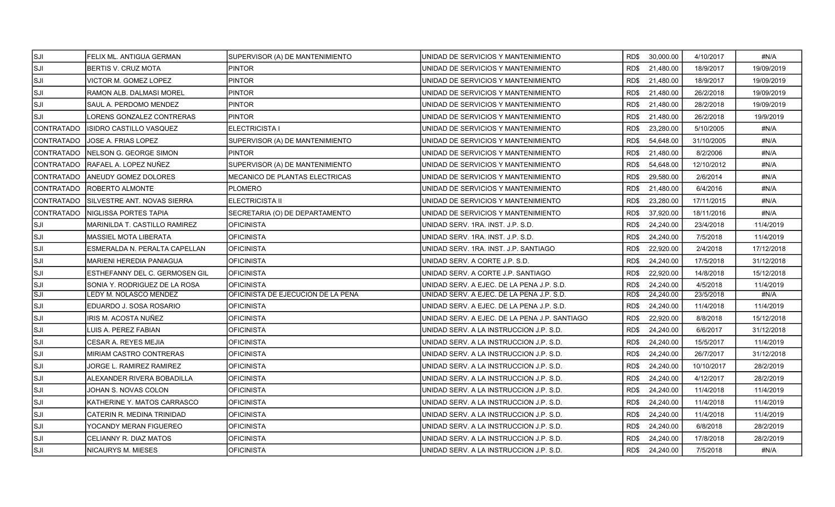| <b>SJI</b>                | FELIX ML. ANTIGUA GERMAN       | SUPERVISOR (A) DE MANTENIMIENTO    | IUNIDAD DE SERVICIOS Y MANTENIMIENTO          | RD\$ 30,000.00    | 4/10/2017  | #N/A       |
|---------------------------|--------------------------------|------------------------------------|-----------------------------------------------|-------------------|------------|------------|
| SJI                       | <b>BERTIS V. CRUZ MOTA</b>     | <b>PINTOR</b>                      | UNIDAD DE SERVICIOS Y MANTENIMIENTO           | 21,480.00<br>RD\$ | 18/9/2017  | 19/09/2019 |
| lsji                      | VICTOR M. GOMEZ LOPEZ          | PINTOR                             | UNIDAD DE SERVICIOS Y MANTENIMIENTO           | RD\$<br>21,480.00 | 18/9/2017  | 19/09/2019 |
| ISJI                      | RAMON ALB. DALMASI MOREL       | <b>PINTOR</b>                      | UNIDAD DE SERVICIOS Y MANTENIMIENTO           | 21,480.00<br>RD\$ | 26/2/2018  | 19/09/2019 |
| <b>SJI</b>                | SAUL A. PERDOMO MENDEZ         | <b>PINTOR</b>                      | UNIDAD DE SERVICIOS Y MANTENIMIENTO           | 21,480.00<br>RD\$ | 28/2/2018  | 19/09/2019 |
| SJI]                      | LORENS GONZALEZ CONTRERAS      | <b>PINTOR</b>                      | UNIDAD DE SERVICIOS Y MANTENIMIENTO           | 21,480.00<br>RD\$ | 26/2/2018  | 19/9/2019  |
| CONTRATADO                | <b>ISIDRO CASTILLO VASQUEZ</b> | ELECTRICISTA I                     | UNIDAD DE SERVICIOS Y MANTENIMIENTO           | RD\$<br>23,280.00 | 5/10/2005  | #N/A       |
| ICONTRATADO               | JOSE A. FRIAS LOPEZ            | SUPERVISOR (A) DE MANTENIMIENTO    | UNIDAD DE SERVICIOS Y MANTENIMIENTO           | RD\$<br>54,648.00 | 31/10/2005 | #N/A       |
| CONTRATADO                | INELSON G. GEORGE SIMON        | <b>PINTOR</b>                      | UNIDAD DE SERVICIOS Y MANTENIMIENTO           | 21,480.00<br>RD\$ | 8/2/2006   | #N/A       |
| CONTRATADO                | RAFAEL A. LOPEZ NUÑEZ          | SUPERVISOR (A) DE MANTENIMIENTO    | UNIDAD DE SERVICIOS Y MANTENIMIENTO           | RD\$<br>54,648.00 | 12/10/2012 | #N/A       |
| CONTRATADO                | <b>ANEUDY GOMEZ DOLORES</b>    | MECANICO DE PLANTAS ELECTRICAS     | UNIDAD DE SERVICIOS Y MANTENIMIENTO           | 29,580.00<br>RD\$ | 2/6/2014   | #N/A       |
| CONTRATADO                | <b>ROBERTO ALMONTE</b>         | <b>PLOMERO</b>                     | UNIDAD DE SERVICIOS Y MANTENIMIENTO           | RD\$<br>21,480.00 | 6/4/2016   | #N/A       |
| CONTRATADO                | SILVESTRE ANT. NOVAS SIERRA    | ELECTRICISTA II                    | UNIDAD DE SERVICIOS Y MANTENIMIENTO           | 23,280.00<br>RD\$ | 17/11/2015 | #N/A       |
| CONTRATADO                | NIGLISSA PORTES TAPIA          | SECRETARIA (O) DE DEPARTAMENTO     | UNIDAD DE SERVICIOS Y MANTENIMIENTO           | 37,920.00<br>RD\$ | 18/11/2016 | #N/A       |
| SJI]                      | MARINILDA T. CASTILLO RAMIREZ  | <b>OFICINISTA</b>                  | UNIDAD SERV. 1RA. INST. J.P. S.D.             | RD\$<br>24,240.00 | 23/4/2018  | 11/4/2019  |
| ISJI                      | <b>MASSIEL MOTA LIBERATA</b>   | <b>OFICINISTA</b>                  | UNIDAD SERV. 1RA. INST. J.P. S.D.             | RD\$<br>24,240.00 | 7/5/2018   | 11/4/2019  |
| lsji                      | ESMERALDA N. PERALTA CAPELLAN  | IOFICINISTA                        | UNIDAD SERV. 1RA. INST. J.P. SANTIAGO         | RD\$<br>22,920.00 | 2/4/2018   | 17/12/2018 |
| lsji                      | MARIENI HEREDIA PANIAGUA       | <b>OFICINISTA</b>                  | UNIDAD SERV. A CORTE J.P. S.D.                | 24,240.00<br>RD\$ | 17/5/2018  | 31/12/2018 |
| lsji                      | ESTHEFANNY DEL C. GERMOSEN GIL | <b>OFICINISTA</b>                  | UNIDAD SERV. A CORTE J.P. SANTIAGO            | RD\$<br>22,920.00 | 14/8/2018  | 15/12/2018 |
| lsji                      | SONIA Y. RODRIGUEZ DE LA ROSA  | <b>OFICINISTA</b>                  | UNIDAD SERV. A EJEC. DE LA PENA J.P. S.D.     | RD\$<br>24,240.00 | 4/5/2018   | 11/4/2019  |
| $\overline{\mathsf{SJI}}$ | LEDY M. NOLASCO MENDEZ         | OFICINISTA DE EJECUCION DE LA PENA | UNIDAD SERV. A EJEC. DE LA PENA J.P. S.D.     | 24,240.00<br>RD\$ | 23/5/2018  | #N/A       |
| lsji                      | EDUARDO J. SOSA ROSARIO        | <b>OFICINISTA</b>                  | UNIDAD SERV. A EJEC. DE LA PENA J.P. S.D.     | RD\$<br>24,240.00 | 11/4/2018  | 11/4/2019  |
| ISJI                      | IRIS M. ACOSTA NUÑEZ           | <b>OFICINISTA</b>                  | UNIDAD SERV. A EJEC. DE LA PENA J.P. SANTIAGO | RD\$<br>22,920.00 | 8/8/2018   | 15/12/2018 |
| lsji                      | LUIS A. PEREZ FABIAN           | <b>OFICINISTA</b>                  | UNIDAD SERV. A LA INSTRUCCION J.P. S.D.       | 24,240.00<br>RD\$ | 6/6/2017   | 31/12/2018 |
| SJI                       | CESAR A. REYES MEJIA           | <b>OFICINISTA</b>                  | UNIDAD SERV. A LA INSTRUCCION J.P. S.D.       | RD\$<br>24,240.00 | 15/5/2017  | 11/4/2019  |
| SJI]                      | MIRIAM CASTRO CONTRERAS        | <b>OFICINISTA</b>                  | UNIDAD SERV. A LA INSTRUCCION J.P. S.D.       | 24,240.00<br>RD\$ | 26/7/2017  | 31/12/2018 |
| SJI                       | JORGE L. RAMIREZ RAMIREZ       | <b>OFICINISTA</b>                  | UNIDAD SERV. A LA INSTRUCCION J.P. S.D.       | RD\$<br>24,240.00 | 10/10/2017 | 28/2/2019  |
| SJI]                      | ALEXANDER RIVERA BOBADILLA     | <b>OFICINISTA</b>                  | UNIDAD SERV. A LA INSTRUCCION J.P. S.D.       | RD\$<br>24,240.00 | 4/12/2017  | 28/2/2019  |
| SJI                       | JOHAN S. NOVAS COLON           | <b>OFICINISTA</b>                  | UNIDAD SERV. A LA INSTRUCCION J.P. S.D.       | 24,240.00<br>RD\$ | 11/4/2018  | 11/4/2019  |
| lsji                      | KATHERINE Y. MATOS CARRASCO    | <b>OFICINISTA</b>                  | UNIDAD SERV. A LA INSTRUCCION J.P. S.D.       | RD\$<br>24,240.00 | 11/4/2018  | 11/4/2019  |
| ISJI                      | CATERIN R. MEDINA TRINIDAD     | OFICINISTA                         | UNIDAD SERV. A LA INSTRUCCION J.P. S.D.       | 24,240.00<br>RD\$ | 11/4/2018  | 11/4/2019  |
| ISJI                      | YOCANDY MERAN FIGUEREO         | <b>OFICINISTA</b>                  | UNIDAD SERV. A LA INSTRUCCION J.P. S.D.       | RD\$<br>24,240.00 | 6/8/2018   | 28/2/2019  |
| lsji                      | CELIANNY R. DIAZ MATOS         | <b>OFICINISTA</b>                  | UNIDAD SERV. A LA INSTRUCCION J.P. S.D.       | RD\$<br>24,240.00 | 17/8/2018  | 28/2/2019  |
| SJI]                      | NICAURYS M. MIESES             | <b>OFICINISTA</b>                  | UNIDAD SERV. A LA INSTRUCCION J.P. S.D.       | RD\$ 24,240.00    | 7/5/2018   | #N/A       |